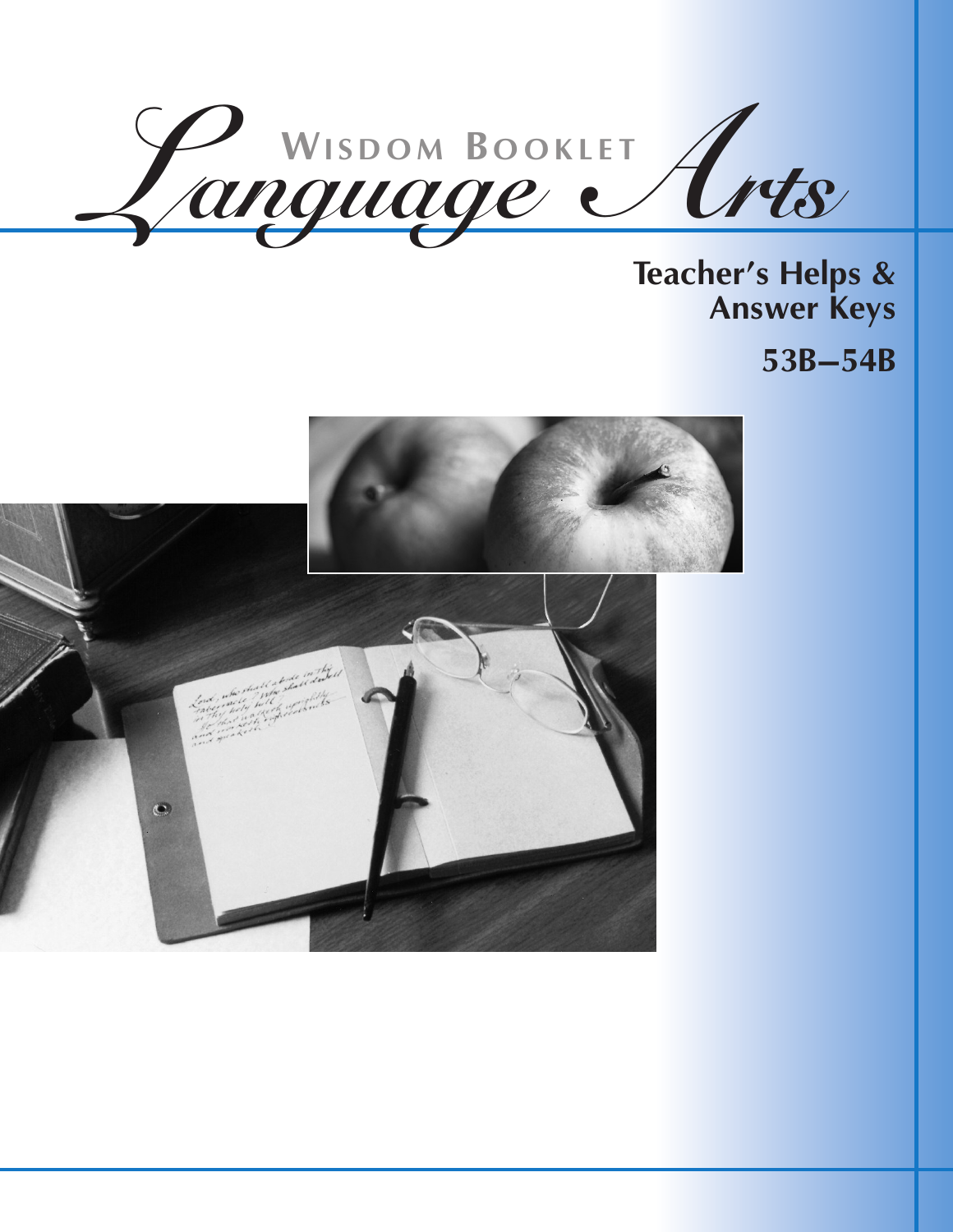

### **Teacher's Helps & Answer Keys 53B–54B**

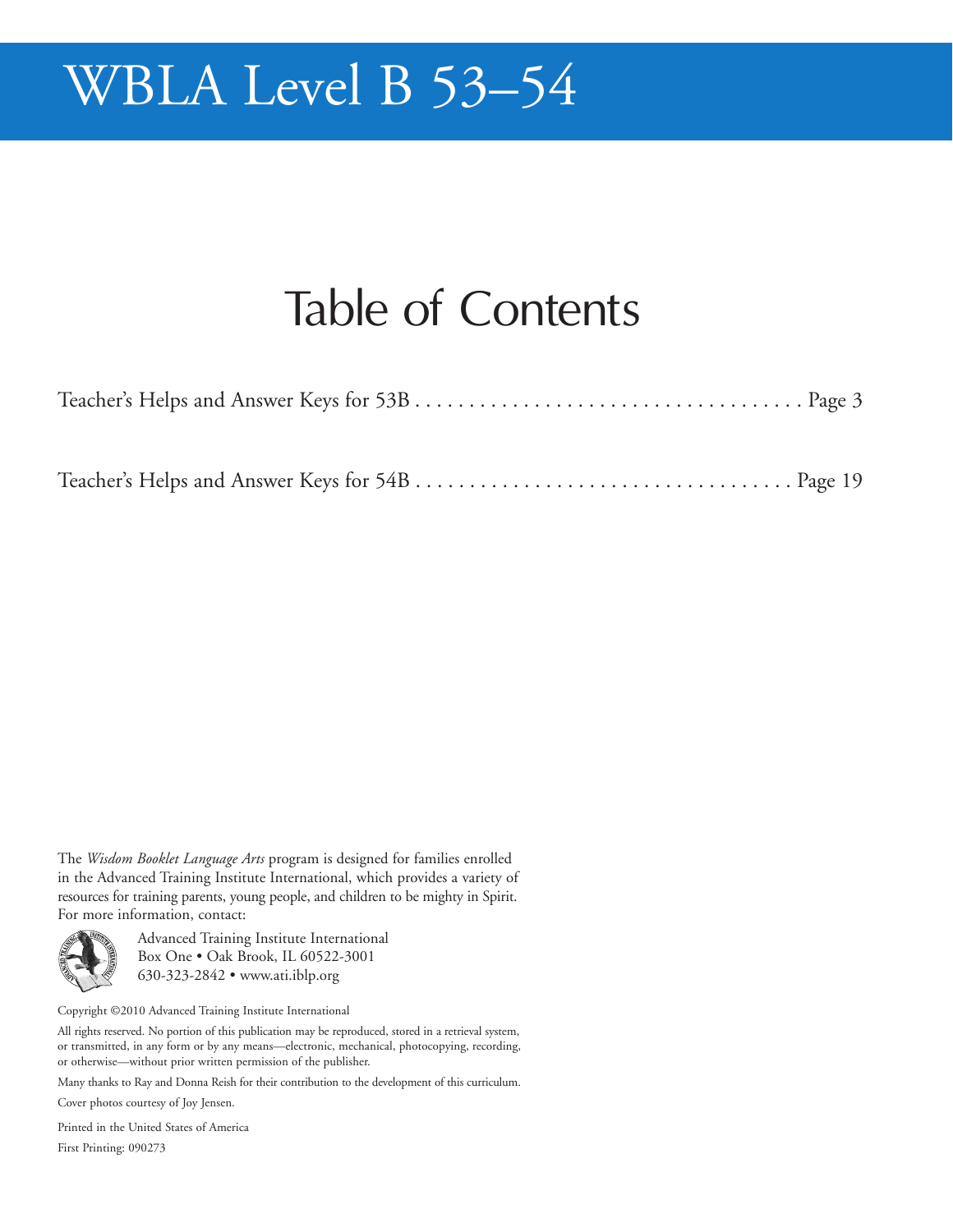## WBLA Level B 53–54

## Table of Contents

Teacher's Helps and Answer Keys for 54B . . . . . . . . . . . . . . . . . . . . . . . . . . . . . . . . . . . Page 19

The *Wisdom Booklet Language Arts* program is designed for families enrolled in the Advanced Training Institute International, which provides a variety of resources for training parents, young people, and children to be mighty in Spirit. For more information, contact:



Advanced Training Institute International Box One • Oak Brook, IL 60522-3001 630-323-2842 • www.ati.iblp.org

Copyright ©2010 Advanced Training Institute International

All rights reserved. No portion of this publication may be reproduced, stored in a retrieval system, or transmitted, in any form or by any means—electronic, mechanical, photocopying, recording, or otherwise—without prior written permission of the publisher.

Many thanks to Ray and Donna Reish for their contribution to the development of this curriculum. Cover photos courtesy of Joy Jensen.

Printed in the United States of America First Printing: 090273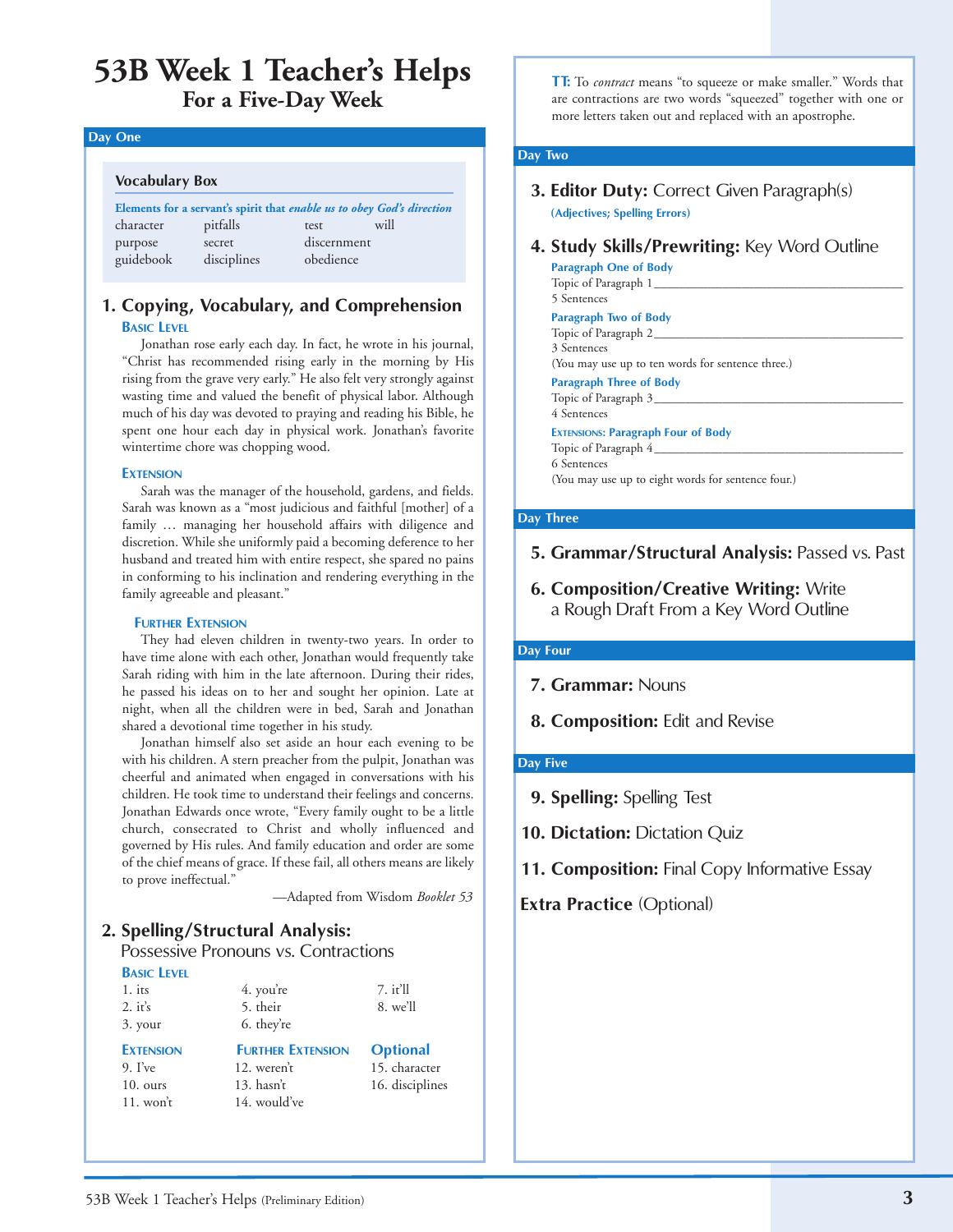### **53B Week 1 Teacher's Helps For a Five-Day Week**

#### **Day One**

#### **Vocabulary Box**

|                      | Elements for a servant's spirit that enable us to obey God's direction |                          |      |
|----------------------|------------------------------------------------------------------------|--------------------------|------|
| character            | pitfalls                                                               | test                     | will |
| purpose<br>guidebook | secret<br>disciplines                                                  | discernment<br>obedience |      |

#### **1. Copying, Vocabulary, and Comprehension BASIC LEVEL**

Jonathan rose early each day. In fact, he wrote in his journal, "Christ has recommended rising early in the morning by His rising from the grave very early." He also felt very strongly against wasting time and valued the benefit of physical labor. Although much of his day was devoted to praying and reading his Bible, he spent one hour each day in physical work. Jonathan's favorite wintertime chore was chopping wood.

#### **EXTENSION**

Sarah was the manager of the household, gardens, and fields. Sarah was known as a "most judicious and faithful [mother] of a family … managing her household affairs with diligence and discretion. While she uniformly paid a becoming deference to her husband and treated him with entire respect, she spared no pains in conforming to his inclination and rendering everything in the family agreeable and pleasant."

#### **FURTHER EXTENSION**

They had eleven children in twenty-two years. In order to have time alone with each other, Jonathan would frequently take Sarah riding with him in the late afternoon. During their rides, he passed his ideas on to her and sought her opinion. Late at night, when all the children were in bed, Sarah and Jonathan shared a devotional time together in his study.

Jonathan himself also set aside an hour each evening to be with his children. A stern preacher from the pulpit, Jonathan was cheerful and animated when engaged in conversations with his children. He took time to understand their feelings and concerns. Jonathan Edwards once wrote, "Every family ought to be a little church, consecrated to Christ and wholly influenced and governed by His rules. And family education and order are some of the chief means of grace. If these fail, all others means are likely to prove ineffectual."

—Adapted from Wisdom *Booklet 53*

#### **2. Spelling/Structural Analysis:**  Possessive Pronouns vs. Contractions

#### **BASIC LEVEL**

| <b>DIVIDENCE</b>   |                          |                 |
|--------------------|--------------------------|-----------------|
| $1.$ its           | 4. you're                | $7.$ it'll      |
| $2.$ it's          | 5. their                 | 8. we'll        |
| 3. your            | 6. they're               |                 |
| <b>EXTENSION</b>   | <b>FURTHER EXTENSION</b> | <b>Optional</b> |
| $9.$ I've          | 12. weren't              | 15. character   |
| $10. \text{ ours}$ | $13.$ hasn't             | 16. disciplines |
| $11.$ won't        | 14. would've             |                 |
|                    |                          |                 |

**TT:** To *contract* means "to squeeze or make smaller." Words that are contractions are two words "squeezed" together with one or more letters taken out and replaced with an apostrophe.

#### **Day Two**

**3. Editor Duty:** Correct Given Paragraph(s) **(Adjectives; Spelling Errors)**

#### **4. Study Skills/Prewriting:** Key Word Outline

**Paragraph One of Body** Topic of Paragraph 1 5 Sentences **Paragraph Two of Body** Topic of Paragraph 2 3 Sentences (You may use up to ten words for sentence three.) **Paragraph Three of Body** Topic of Paragraph 3 4 Sentences **EXTENSIONS: Paragraph Four of Body** Topic of Paragraph 4 6 Sentences (You may use up to eight words for sentence four.)

#### **Day Three**

- **5. Grammar/Structural Analysis:** Passed vs. Past
- **6. Composition/Creative Writing:** Write a Rough Draft From a Key Word Outline

#### **Day Four**

- **7. Grammar:** Nouns
- **8. Composition:** Edit and Revise

#### **Day Five**

- **9. Spelling:** Spelling Test
- **10. Dictation:** Dictation Quiz
- **11. Composition:** Final Copy Informative Essay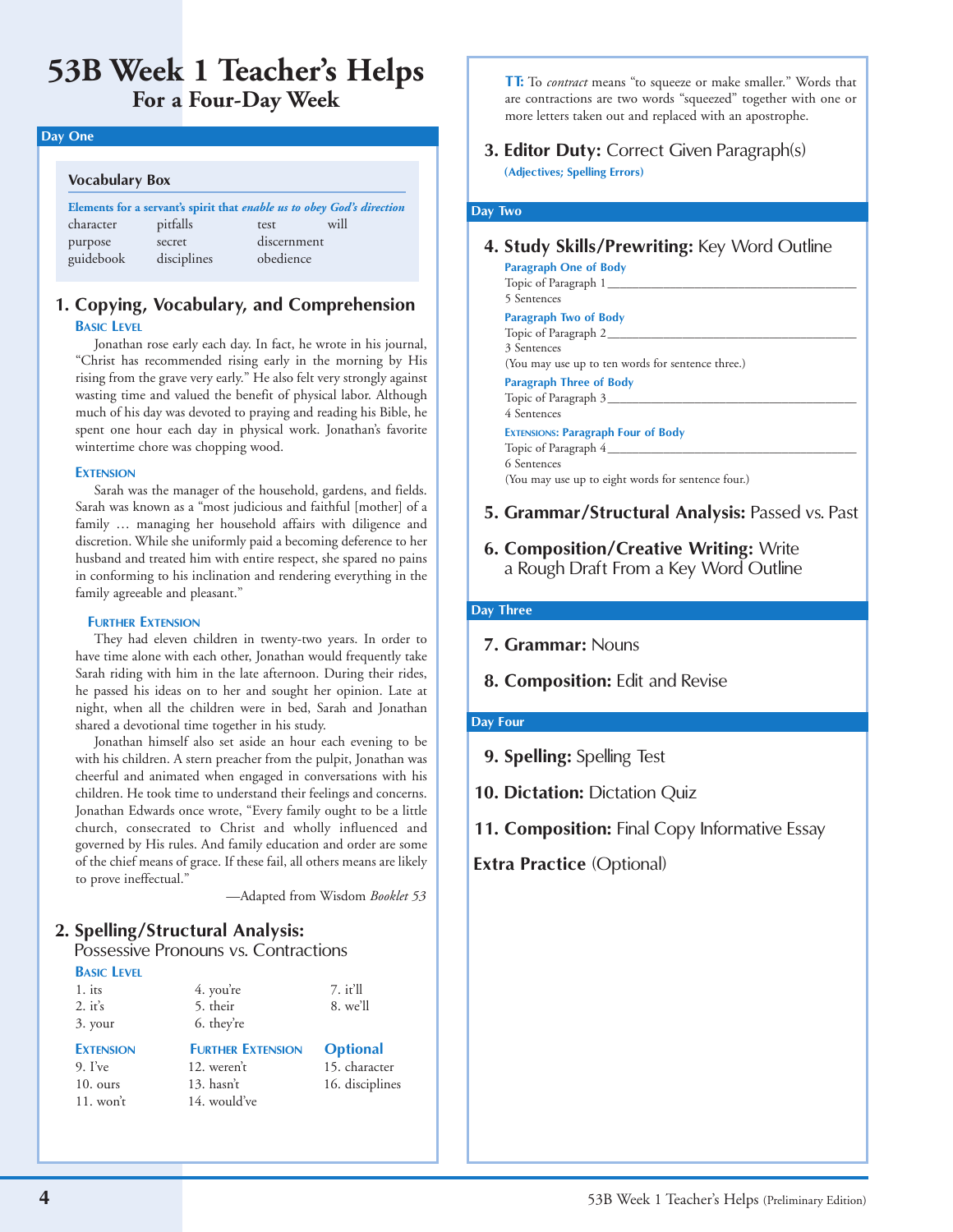## **53B Week 1 Teacher's Helps**

**For a Four-Day Week**

#### **Day One**

#### **Vocabulary Box**

|           |             |             | Elements for a servant's spirit that enable us to obey God's direction |
|-----------|-------------|-------------|------------------------------------------------------------------------|
| character | pitfalls    | test        | will                                                                   |
| purpose   | secret      | discernment |                                                                        |
| guidebook | disciplines | obedience   |                                                                        |

#### **1. Copying, Vocabulary, and Comprehension BASIC LEVEL**

Jonathan rose early each day. In fact, he wrote in his journal, "Christ has recommended rising early in the morning by His rising from the grave very early." He also felt very strongly against wasting time and valued the benefit of physical labor. Although much of his day was devoted to praying and reading his Bible, he spent one hour each day in physical work. Jonathan's favorite wintertime chore was chopping wood.

#### **EXTENSION**

Sarah was the manager of the household, gardens, and fields. Sarah was known as a "most judicious and faithful [mother] of a family … managing her household affairs with diligence and discretion. While she uniformly paid a becoming deference to her husband and treated him with entire respect, she spared no pains in conforming to his inclination and rendering everything in the family agreeable and pleasant."

#### **FURTHER EXTENSION**

They had eleven children in twenty-two years. In order to have time alone with each other, Jonathan would frequently take Sarah riding with him in the late afternoon. During their rides, he passed his ideas on to her and sought her opinion. Late at night, when all the children were in bed, Sarah and Jonathan shared a devotional time together in his study.

Jonathan himself also set aside an hour each evening to be with his children. A stern preacher from the pulpit, Jonathan was cheerful and animated when engaged in conversations with his children. He took time to understand their feelings and concerns. Jonathan Edwards once wrote, "Every family ought to be a little church, consecrated to Christ and wholly influenced and governed by His rules. And family education and order are some of the chief means of grace. If these fail, all others means are likely to prove ineffectual."

—Adapted from Wisdom *Booklet 53*

### **2. Spelling/Structural Analysis:**

#### Possessive Pronouns vs. Contractions

| <b>BASIC LEVEL</b> |                          |                 |
|--------------------|--------------------------|-----------------|
| $1.$ its           | 4. you're                | $7.$ it'll      |
| $2.$ it's          | 5. their                 | 8. we'll        |
| 3. your            | 6. they're               |                 |
| <b>EXTENSION</b>   | <b>FURTHER EXTENSION</b> | <b>Optional</b> |
| $9.$ I've          | 12. weren't              | 15. character   |
|                    |                          |                 |
| $10. \text{ ours}$ | $13.$ hasn't             | 16. disciplines |

**TT:** To *contract* means "to squeeze or make smaller." Words that are contractions are two words "squeezed" together with one or more letters taken out and replaced with an apostrophe.

#### **3. Editor Duty:** Correct Given Paragraph(s) **(Adjectives; Spelling Errors)**

#### **Day Two**

#### **4. Study Skills/Prewriting:** Key Word Outline

**Paragraph One of Body** Topic of Paragraph 1 5 Sentences **Paragraph Two of Body** Topic of Paragraph 2\_ 3 Sentences (You may use up to ten words for sentence three.) **Paragraph Three of Body** Topic of Paragraph 3 4 Sentences **EXTENSIONS: Paragraph Four of Body** Topic of Paragraph 4 6 Sentences (You may use up to eight words for sentence four.)

- **5. Grammar/Structural Analysis:** Passed vs. Past
- **6. Composition/Creative Writing:** Write a Rough Draft From a Key Word Outline

#### **Day Three**

- **7. Grammar:** Nouns
- **8. Composition:** Edit and Revise

#### **Day Four**

- **9. Spelling:** Spelling Test
- **10. Dictation:** Dictation Quiz
- **11. Composition:** Final Copy Informative Essay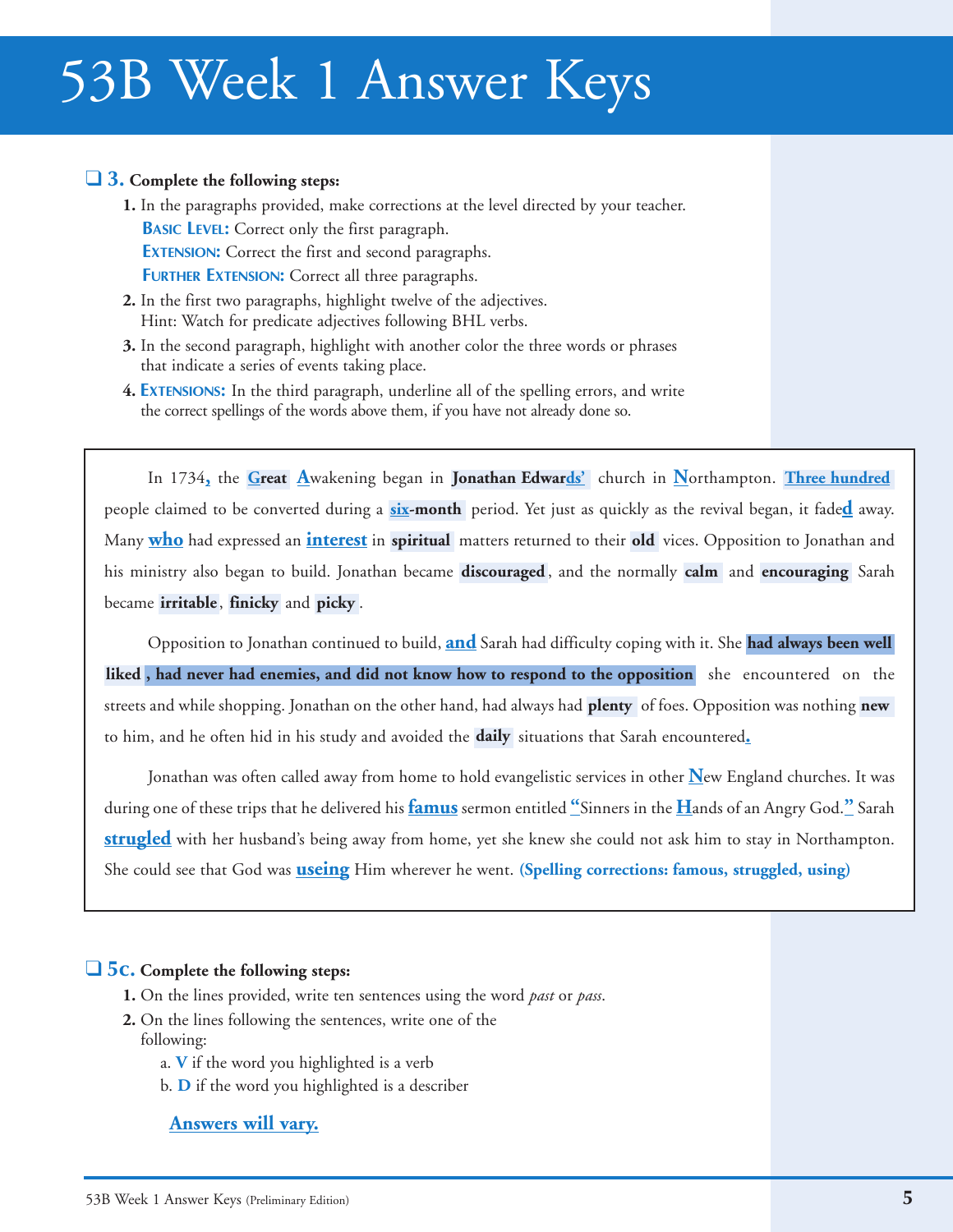# 53B Week 1 Answer Keys

#### ❑ **3. Complete the following steps:**

- **1.** In the paragraphs provided, make corrections at the level directed by your teacher. **BASIC LEVEL:** Correct only the first paragraph. **EXTENSION:** Correct the first and second paragraphs. **FURTHER EXTENSION:** Correct all three paragraphs.
- **2.** In the first two paragraphs, highlight twelve of the adjectives. Hint: Watch for predicate adjectives following BHL verbs.
- **3.** In the second paragraph, highlight with another color the three words or phrases that indicate a series of events taking place.
- **4. EXTENSIONS:** In the third paragraph, underline all of the spelling errors, and write the correct spellings of the words above them, if you have not already done so.

In 1734, the Great Awakening began in Jonathan Edwar<u>ds'</u> church in Northampton. Three hundred people claimed to be converted during a <mark>six-month</mark> period. Yet just as quickly as the revival began, it fade<mark>d</mark> away. Many <mark>who</mark> had expressed an <mark>interest</mark> in spiritual matters returned to their old vices. Opposition to Jonathan and his ministry also began to build. Jonathan became **discouraged**, and the normally calm and encouraging Sarah became **irritable**, **finicky** and **picky**.

Opposition to Jonathan continued to build, **and** Sarah had difficulty coping with it. She **had always been well** liked , had never had enemies, and did not know how to respond to the opposition she encountered on the streets and while shopping. Jonathan on the other hand, had always had **plenty** of foes. Opposition was nothing **new** to him, and he often hid in his study and avoided the daily situations that Sarah encountered<u>.</u>

Jonathan was often called away from home to hold evangelistic services in other **N**ew England churches. It was during one of these trips that he delivered his **famus** sermon entitled **"**Sinners in the **H**ands of an Angry God.**"** Sarah **strugled** with her husband's being away from home, yet she knew she could not ask him to stay in Northampton. She could see that God was **useing** Him wherever he went. **(Spelling corrections: famous, struggled, using)**

#### ❑ **5c. Complete the following steps:**

- **1.** On the lines provided, write ten sentences using the word *past* or *pass*.
- **2.** On the lines following the sentences, write one of the
- following:
	- a. **V** if the word you highlighted is a verb
	- b. **D** if the word you highlighted is a describer

#### **Answers will vary.**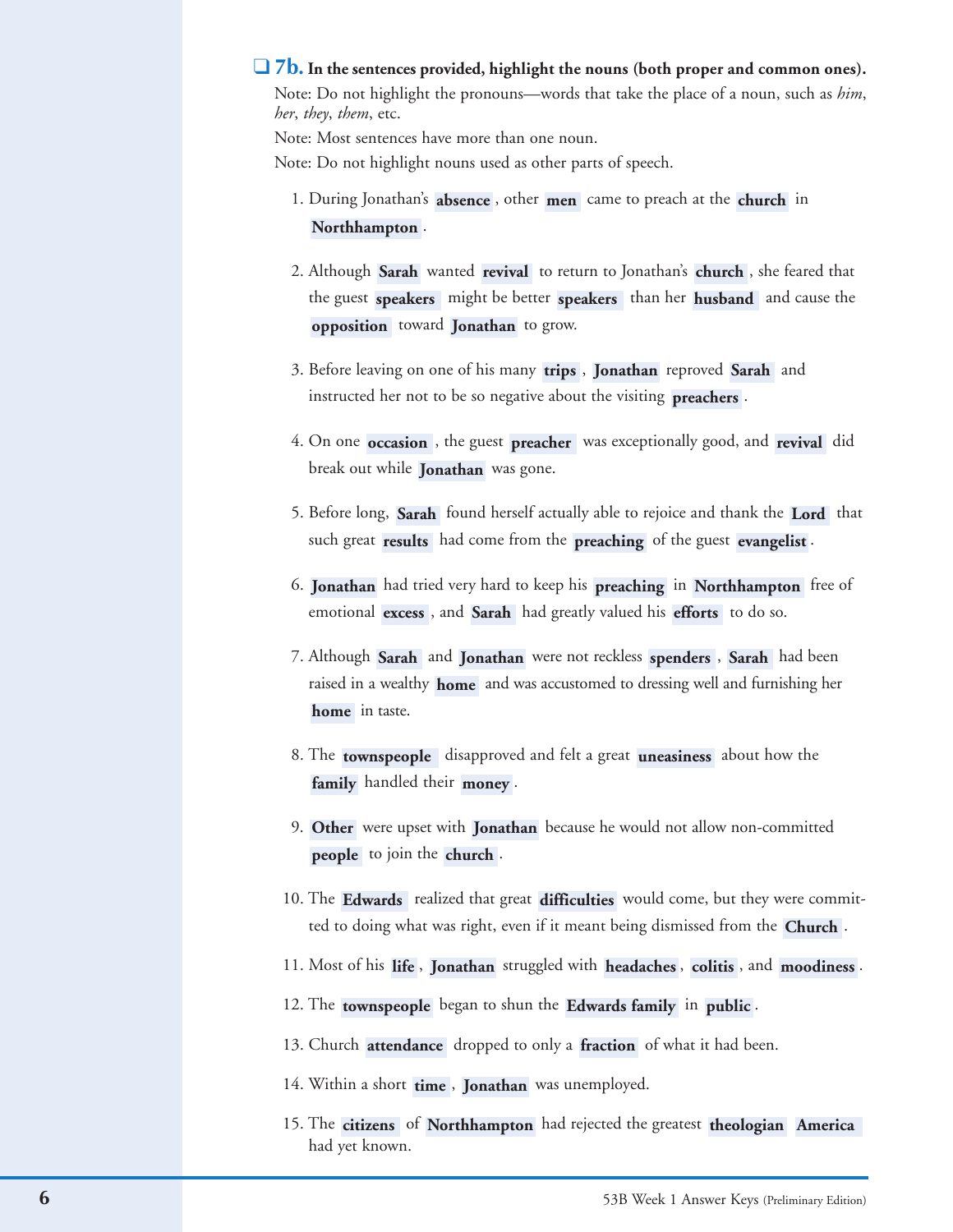#### ❑ **7b. In the sentences provided, highlight the nouns (both proper and common ones).**

Note: Do not highlight the pronouns—words that take the place of a noun, such as *him*, *her*, *they*, *them*, etc.

Note: Most sentences have more than one noun.

Note: Do not highlight nouns used as other parts of speech.

- 1. During Jonathan's **absence**, other **men** came to preach at the **church** in . **Northhampton**
- 2. Although **Sarah** wanted revival to return to Jonathan's church, she feared that the guest **speakers** might be better **speakers** than her **husband** and cause the opposition toward Jonathan to grow.
- 3. Before leaving on one of his many trips , Jonathan reproved Sarah and instructed her not to be so negative about the visiting **preachers**.
- 4. On one **occasion**, the guest **preacher** was exceptionally good, and **revival** did break out while Jonathan was gone.
- 5. Before long, **Sarah** found herself actually able to rejoice and thank the Lord that such great results had come from the **preaching** of the guest evangelist.
- 6. Jonathan had tried very hard to keep his preaching in Northhampton free of emotional excess , and Sarah had greatly valued his efforts to do so.
- 7. Although **Sarah** and **Jonathan** were not reckless **spenders** , **Sarah** had been raised in a wealthy **home** and was accustomed to dressing well and furnishing her **home** in taste.
- 8. The **townspeople** disapproved and felt a great **uneasiness** about how the family handled their money.
- 9. Other were upset with Jonathan because he would not allow non-committed **people** to join the church.
- 10. The Edwards realized that great difficulties would come, but they were committed to doing what was right, even if it meant being dismissed from the **Church**.
- 11. Most of his life, Jonathan struggled with headaches, colitis, and moodiness.
- 12. The townspeople began to shun the Edwards family in public.
- 13. Church **attendance** dropped to only a fraction of what it had been.
- 14. Within a short **time**, **Jonathan** was unemployed.
- 15. The citizens of Northhampton had rejected the greatest theologian America had yet known.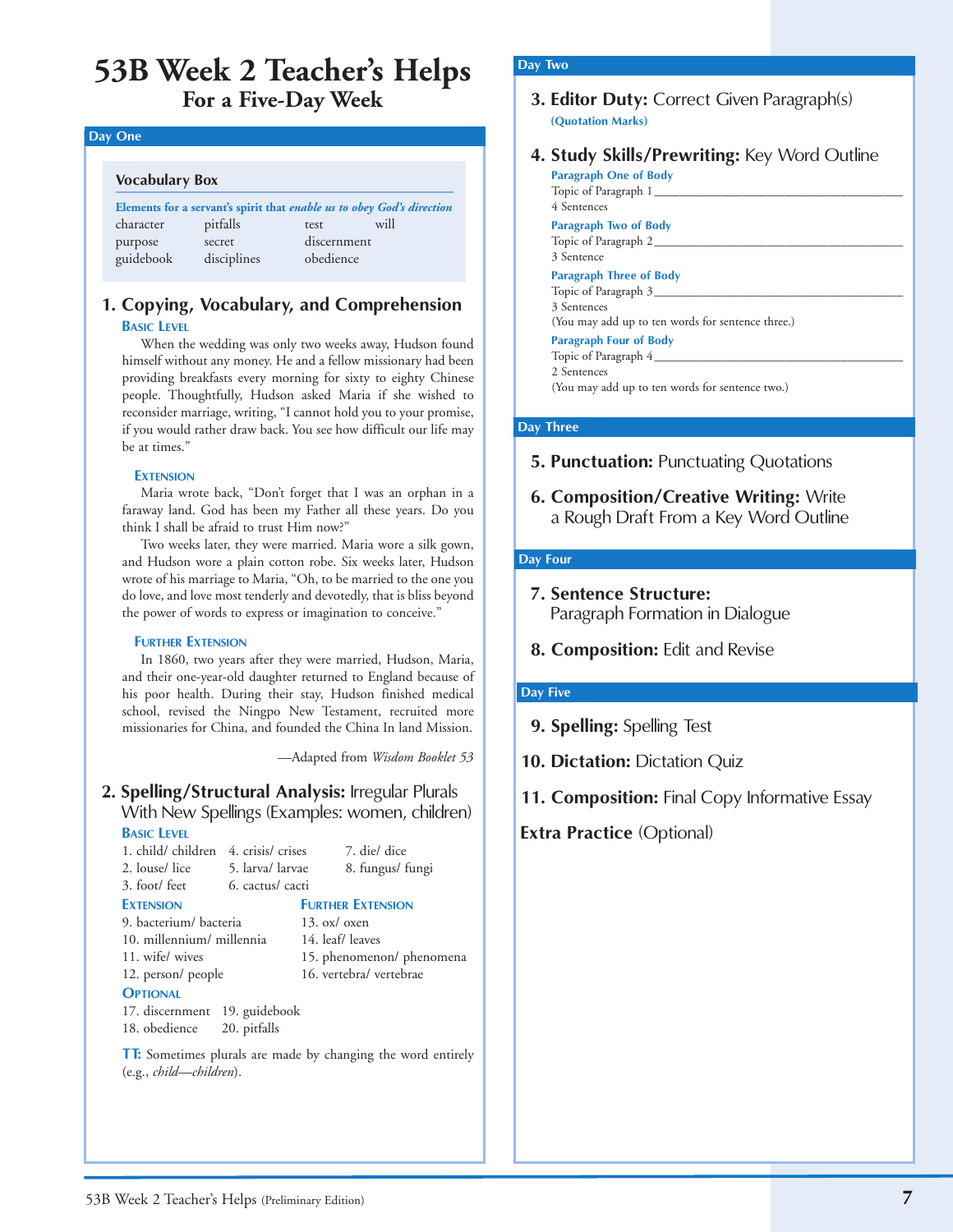### **53B Week 2 Teacher's Helps For a Five-Day Week**

#### **Day One**

#### **Vocabulary Box**

|           | Elements for a servant's spirit that enable us to obey God's direction |             |      |
|-----------|------------------------------------------------------------------------|-------------|------|
| character | pitfalls                                                               | test        | will |
| purpose   | secret                                                                 | discernment |      |
| guidebook | disciplines                                                            | obedience   |      |

#### **1. Copying, Vocabulary, and Comprehension BASIC LEVEL**

When the wedding was only two weeks away, Hudson found himself without any money. He and a fellow missionary had been providing breakfasts every morning for sixty to eighty Chinese people. Thoughtfully, Hudson asked Maria if she wished to reconsider marriage, writing, "I cannot hold you to your promise, if you would rather draw back. You see how difficult our life may be at times."

#### **EXTENSION**

Maria wrote back, "Don't forget that I was an orphan in a faraway land. God has been my Father all these years. Do you think I shall be afraid to trust Him now?"

Two weeks later, they were married. Maria wore a silk gown, and Hudson wore a plain cotton robe. Six weeks later, Hudson wrote of his marriage to Maria, "Oh, to be married to the one you do love, and love most tenderly and devotedly, that is bliss beyond the power of words to express or imagination to conceive."

#### **FURTHER EXTENSION**

In 1860, two years after they were married, Hudson, Maria, and their one-year-old daughter returned to England because of his poor health. During their stay, Hudson finished medical school, revised the Ningpo New Testament, recruited more missionaries for China, and founded the China In land Mission.

—Adapted from *Wisdom Booklet 53*

#### **2. Spelling/Structural Analysis:** Irregular Plurals With New Spellings (Examples: women, children)

#### **BASIC LEVEL**

- 1. child/ children 4. crisis/ crises 7. die/ dice 2. louse/ lice 5. larva/ larvae 8. fungus/ fungi
	-
- 3. foot/ feet 6. cactus/ cacti
- **EXTENSION FURTHER EXTENSION**
- 
- 9. bacterium/ bacteria 13. ox/ oxen 10. millennium/ millennia 14. leaf/ leaves
- 
- 11. wife/ wives 15. phenomenon/ phenomena 12. person/ people 16. vertebra/ vertebrae
- **OPTIONAL**
- 17. discernment 19. guidebook 18. obedience 20. pitfalls
- **TT:** Sometimes plurals are made by changing the word entirely (e.g., *child*—*children*).

#### **Day Two**

- **3. Editor Duty:** Correct Given Paragraph(s) **(Quotation Marks)**
- **4. Study Skills/Prewriting:** Key Word Outline

| <b>Paragraph One of Body</b>                      |
|---------------------------------------------------|
| Topic of Paragraph 1                              |
| 4 Sentences                                       |
| Paragraph Two of Body                             |
| Topic of Paragraph 2                              |
| 3 Sentence                                        |
| <b>Paragraph Three of Body</b>                    |
| Topic of Paragraph 3                              |
| 3 Sentences                                       |
| (You may add up to ten words for sentence three.) |
| <b>Paragraph Four of Body</b>                     |
| Topic of Paragraph 4                              |
| 2 Sentences                                       |
| (You may add up to ten words for sentence two.)   |

#### **Day Three**

- **5. Punctuation: Punctuating Quotations**
- **6. Composition/Creative Writing:** Write a Rough Draft From a Key Word Outline

#### **Day Four**

- **7. Sentence Structure:**  Paragraph Formation in Dialogue
- **8. Composition:** Edit and Revise

#### **Day Five**

- **9. Spelling:** Spelling Test
- **10. Dictation:** Dictation Quiz
- **11. Composition:** Final Copy Informative Essay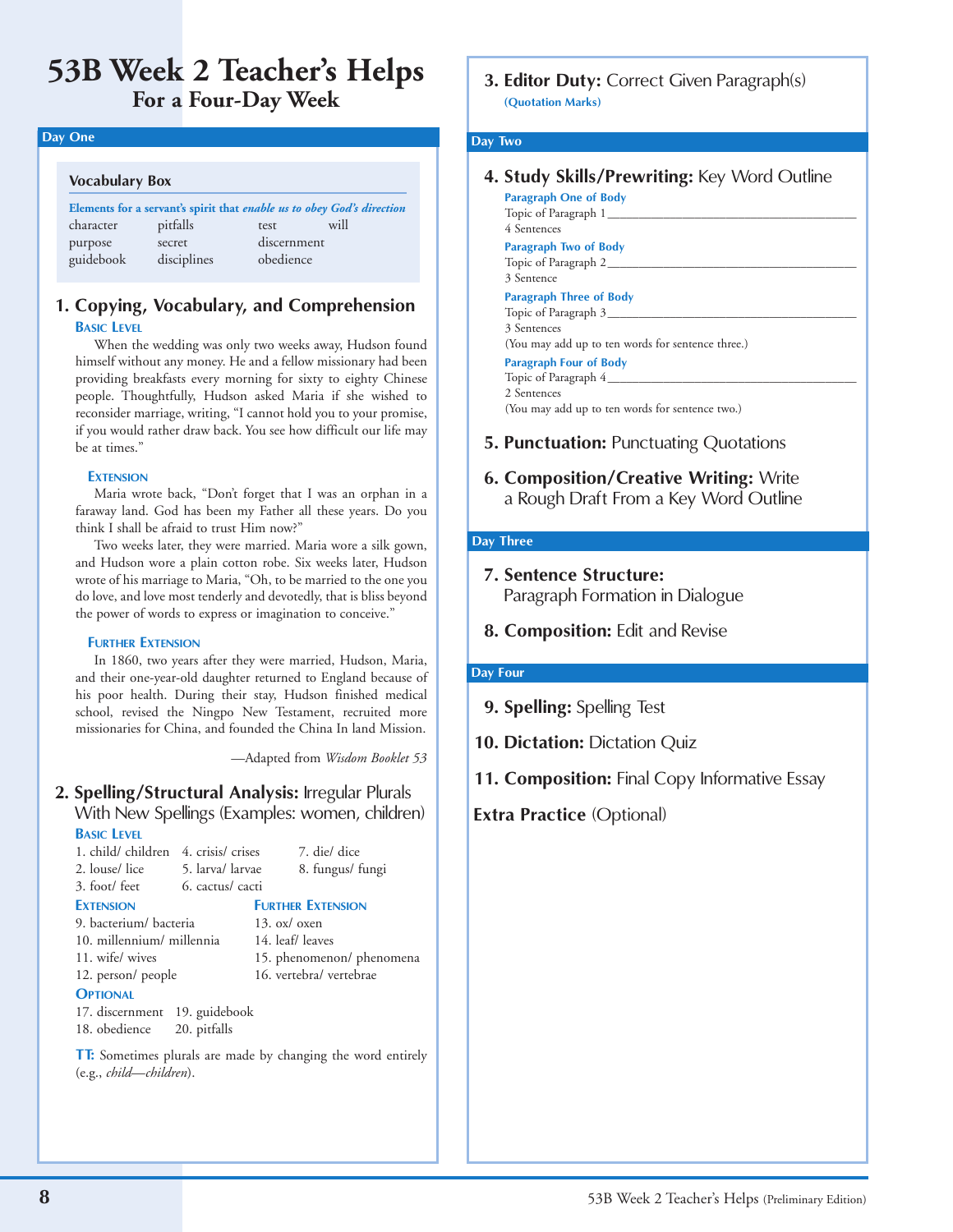## **53B Week 2 Teacher's Helps**

**For a Four-Day Week**

#### **Day One**

#### **Vocabulary Box**

|           | Elements for a servant's spirit that enable us to obey God's direction |             |      |
|-----------|------------------------------------------------------------------------|-------------|------|
| character | pitfalls                                                               | test        | will |
| purpose   | secret                                                                 | discernment |      |
| guidebook | disciplines                                                            | obedience   |      |

#### **1. Copying, Vocabulary, and Comprehension BASIC LEVEL**

When the wedding was only two weeks away, Hudson found himself without any money. He and a fellow missionary had been providing breakfasts every morning for sixty to eighty Chinese people. Thoughtfully, Hudson asked Maria if she wished to reconsider marriage, writing, "I cannot hold you to your promise, if you would rather draw back. You see how difficult our life may be at times."

#### **EXTENSION**

Maria wrote back, "Don't forget that I was an orphan in a faraway land. God has been my Father all these years. Do you think I shall be afraid to trust Him now?"

Two weeks later, they were married. Maria wore a silk gown, and Hudson wore a plain cotton robe. Six weeks later, Hudson wrote of his marriage to Maria, "Oh, to be married to the one you do love, and love most tenderly and devotedly, that is bliss beyond the power of words to express or imagination to conceive."

#### **FURTHER EXTENSION**

In 1860, two years after they were married, Hudson, Maria, and their one-year-old daughter returned to England because of his poor health. During their stay, Hudson finished medical school, revised the Ningpo New Testament, recruited more missionaries for China, and founded the China In land Mission.

—Adapted from *Wisdom Booklet 53*

### **2. Spelling/Structural Analysis:** Irregular Plurals With New Spellings (Examples: women, children)

#### **BASIC LEVEL**

3. foot/ feet 6. cactus/ cacti

1. child/ children 4. crisis/ crises 7. die/ dice 2. louse/ lice 5. larva/ larvae 8. fungus/ fungi

**EXTENSION FURTHER EXTENSION** 9. bacterium/ bacteria 13. ox/ oxen

- 10. millennium/ millennia 14. leaf/ leaves
- 11. wife/ wives 15. phenomenon/ phenomena

12. person/ people 16. vertebra/ vertebrae

#### **OPTIONAL**

17. discernment 19. guidebook 18. obedience 20. pitfalls

**TT:** Sometimes plurals are made by changing the word entirely (e.g., *child*—*children*).

**3. Editor Duty:** Correct Given Paragraph(s) **(Quotation Marks)**

#### **Day Two**

**4. Study Skills/Prewriting:** Key Word Outline

**Paragraph One of Body** Topic of Paragraph 1 4 Sentences **Paragraph Two of Body** Topic of Paragraph 2 3 Sentence **Paragraph Three of Body** Topic of Paragraph 3 3 Sentences (You may add up to ten words for sentence three.) **Paragraph Four of Body** Topic of Paragraph 4

2 Sentences (You may add up to ten words for sentence two.)

- **5. Punctuation:** Punctuating Quotations
- **6. Composition/Creative Writing:** Write a Rough Draft From a Key Word Outline

#### **Day Three**

- **7. Sentence Structure:**  Paragraph Formation in Dialogue
- **8. Composition:** Edit and Revise

#### **Day Four**

- **9. Spelling:** Spelling Test
- **10. Dictation:** Dictation Quiz
- **11. Composition:** Final Copy Informative Essay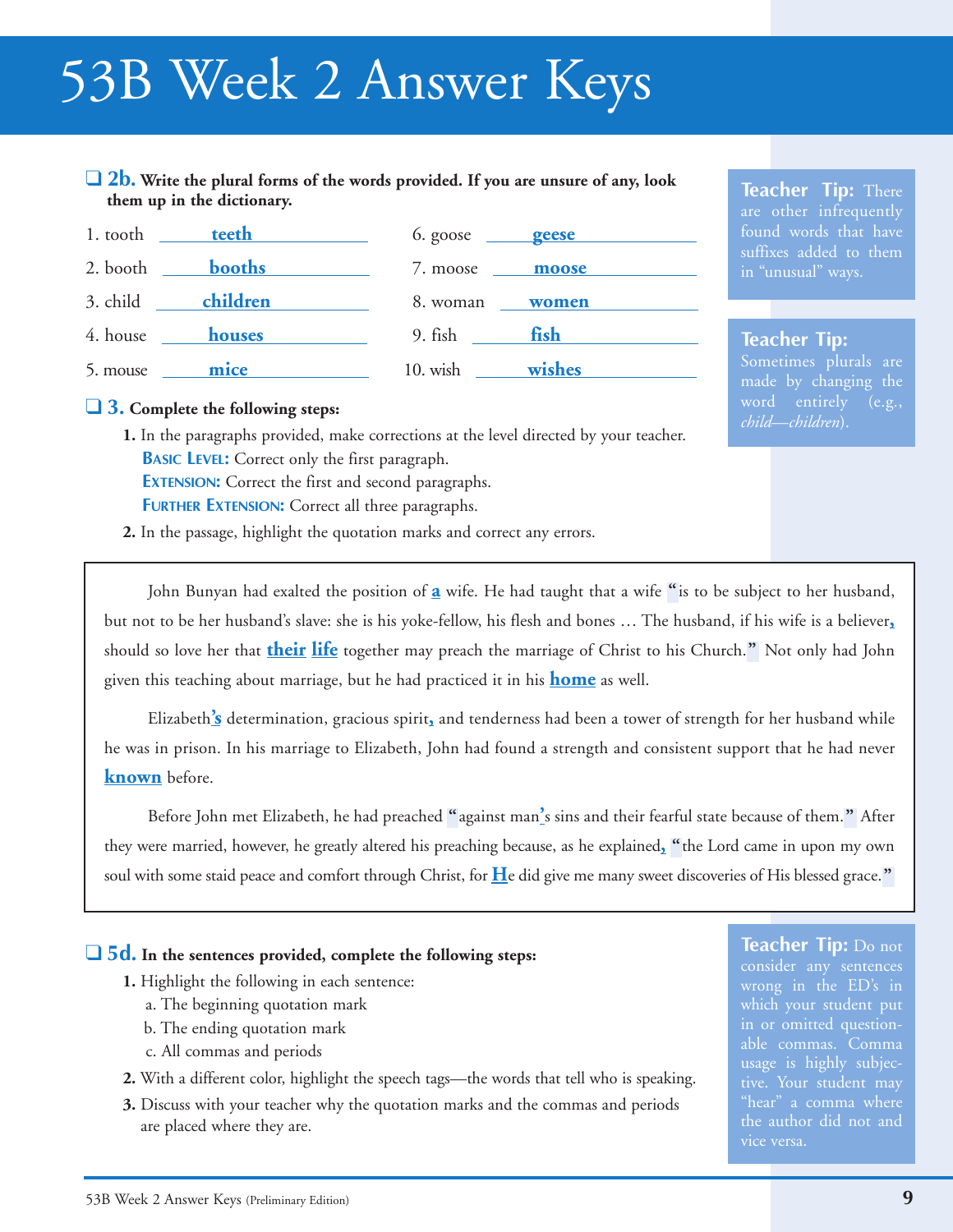## 53B Week 2 Answer Keys

#### ❑ **2b. Write the plural forms of the words provided. If you are unsure of any, look them up in the dictionary.**

|                   | 1. tooth teeth<br>the company of the company | 6. goose <u>geese</u> |        |  |
|-------------------|----------------------------------------------|-----------------------|--------|--|
| 2. booth $\qquad$ | booths                                       | 7. moose <b>moose</b> |        |  |
|                   | 3. child children                            | 8. woman <b>women</b> |        |  |
| 4. house $\qquad$ | houses                                       | $9.$ fish             | fish   |  |
| 5. mouse          | mice                                         | $10.$ wish            | wishes |  |

**Teacher Tip:** There are other infrequently suffixes added to them

### **Teacher Tip:**

made by changing the *child*—*children*).

### ❑ **3. Complete the following steps:**

- **1.** In the paragraphs provided, make corrections at the level directed by your teacher. **BASIC LEVEL:** Correct only the first paragraph. **EXTENSION:** Correct the first and second paragraphs. **FURTHER EXTENSION:** Correct all three paragraphs.
- **2.** In the passage, highlight the quotation marks and correct any errors.

John Bunyan had exalted the position of <u>**a**</u> wife. He had taught that a wife "is to be subject to her husband, but not to be her husband's slave: she is his yoke-fellow, his flesh and bones … The husband, if his wife is a believer**,** should so love her that <mark>their life</mark> together may preach the marriage of Christ to his Church." Not only had John given this teaching about marriage, but he had practiced it in his **home** as well.

Elizabeth**'s** determination, gracious spirit**,** and tenderness had been a tower of strength for her husband while he was in prison. In his marriage to Elizabeth, John had found a strength and consistent support that he had never **known** before.

Before John met Elizabeth, he had preached "against man's sins and their fearful state because of them." After they were married, however, he greatly altered his preaching because, as he explained, "the Lord came in upon my own soul with some staid peace and comfort through Christ, for **H**e did give me many sweet discoveries of His blessed grace.**"**

#### ❑ **5d. In the sentences provided, complete the following steps:**

- **1.** Highlight the following in each sentence:
	- a. The beginning quotation mark
	- b. The ending quotation mark
	- c. All commas and periods
- **2.** With a different color, highlight the speech tags—the words that tell who is speaking.
- **3.** Discuss with your teacher why the quotation marks and the commas and periods are placed where they are.

**Teacher Tip:** Do not wrong in the ED's in which your student put in or omitted questionable commas. Comma usage is highly subjecthe author did not and vice versa.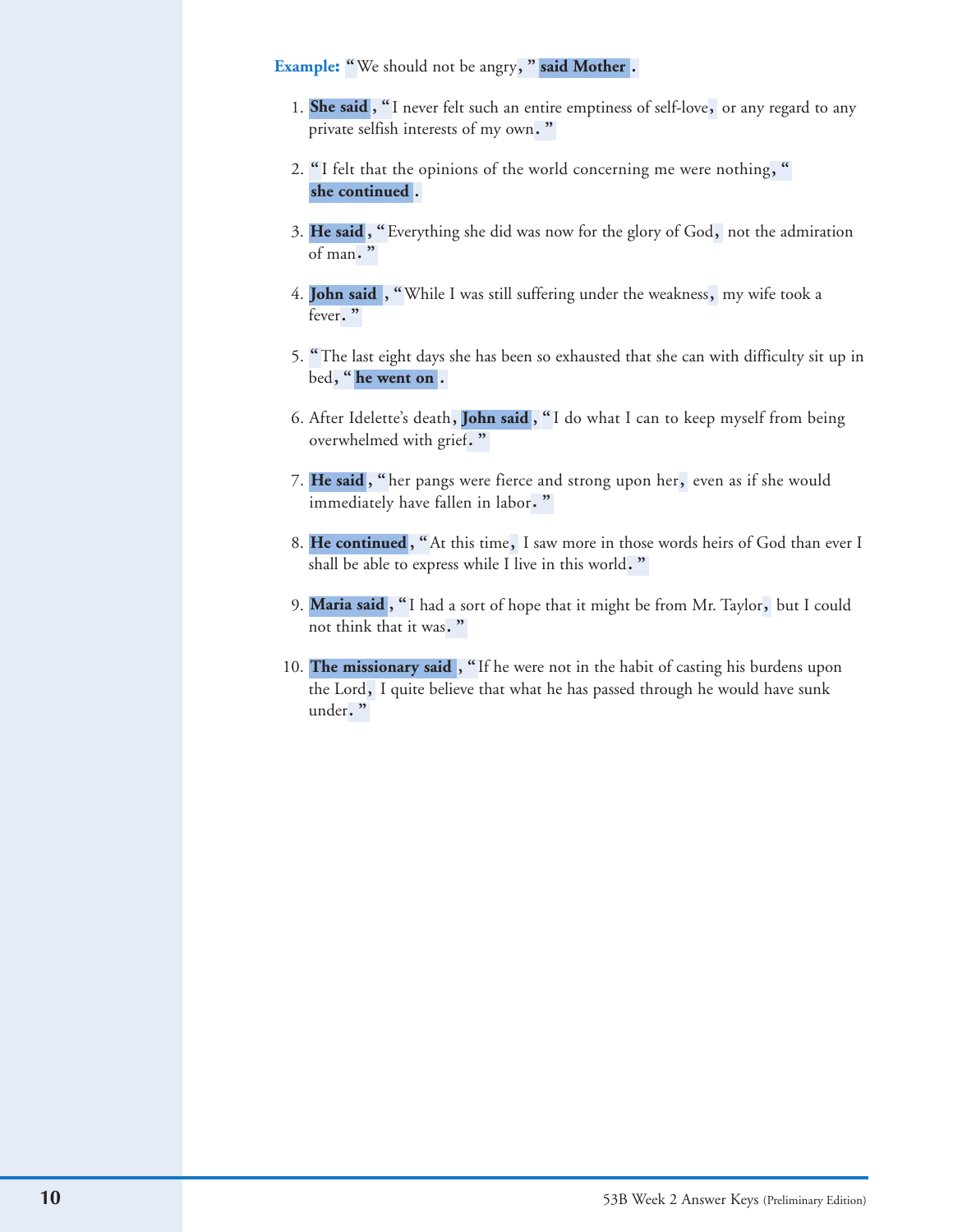**Example:** We should not be angry **" , " said Mother .**

- 1. She said, "I never felt such an entire emptiness of self-love, or any regard to any private selfish interests of my own **. "**
- 2. "I felt that the opinions of the world concerning me were nothing, " **she continued .**
- 3. He said , "Everything she did was now for the glory of God, not the admiration of man **. "**
- **4. John said** , "While I was still suffering under the weakness, my wife took a fever **. "**
- 5. The last eight days she has been so exhausted that she can with difficulty sit up in **"** bed **, " he went on .**
- **6.** After Idelette's death**, John said , "** I do what I can to keep myself from being overwhelmed with grief **. "**
- **7. He said , "** her pangs were fierce and strong upon her, even as if she would immediately have fallen in labor **. "**
- 8. He continued, "At this time, I saw more in those words heirs of God than ever I shall be able to express while I live in this world **. "**
- 9. **Maria said , "**I had a sort of hope that it might be from Mr. Taylor,but I could not think that it was **. "**
- 10. The missionary said, "If he were not in the habit of casting his burdens upon the Lord,I quite believe that what he has passed through he would have sunk under**. "**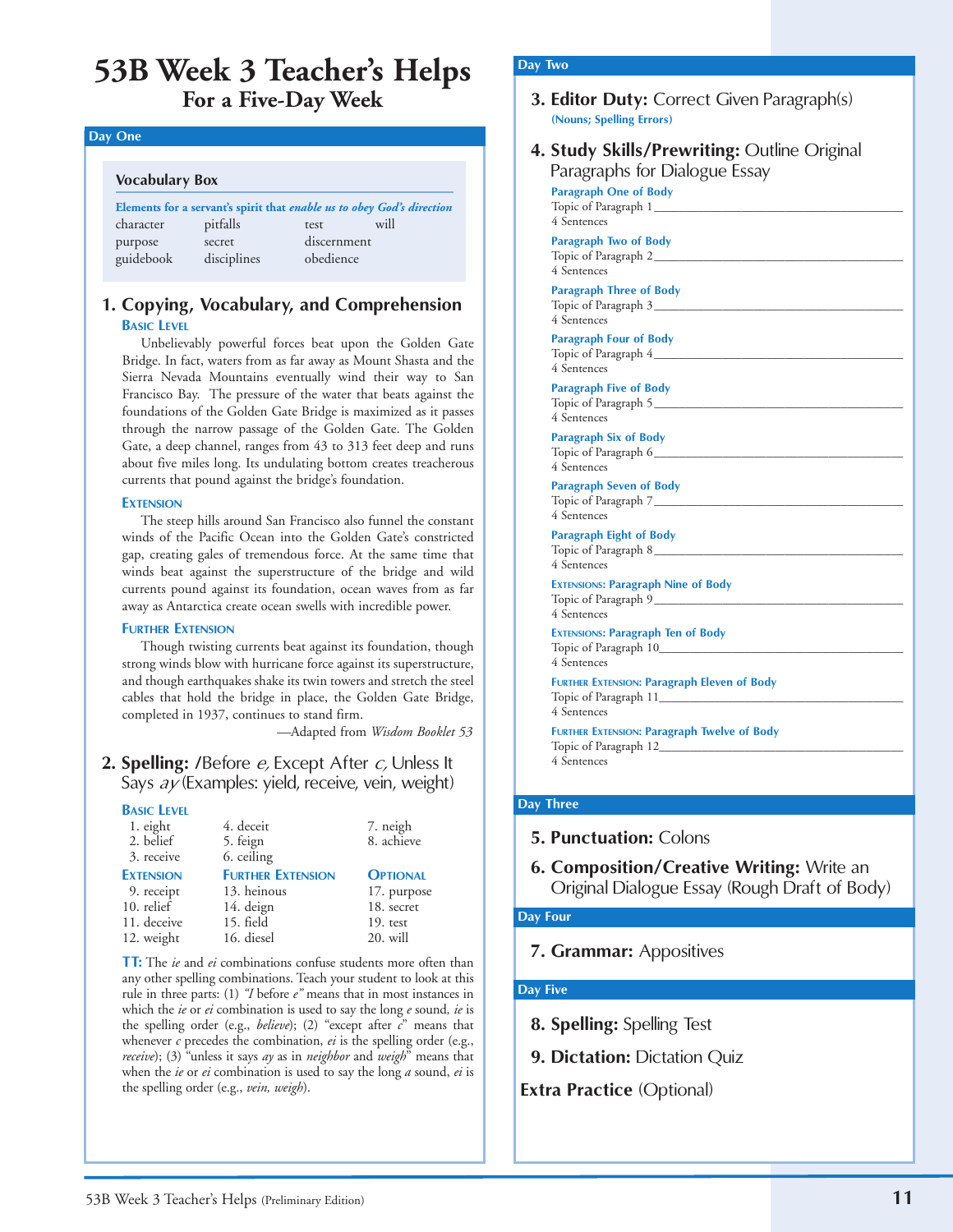### **53B Week 3 Teacher's Helps For a Five-Day Week**

#### **Day One**

#### **Vocabulary Box**

|           | Elements for a servant's spirit that enable us to obey God's direction |             |      |
|-----------|------------------------------------------------------------------------|-------------|------|
| character | pitfalls                                                               | test        | will |
| purpose   | secret                                                                 | discernment |      |
| guidebook | disciplines                                                            | obedience   |      |

#### **1. Copying, Vocabulary, and Comprehension BASIC LEVEL**

Unbelievably powerful forces beat upon the Golden Gate Bridge. In fact, waters from as far away as Mount Shasta and the Sierra Nevada Mountains eventually wind their way to San Francisco Bay. The pressure of the water that beats against the foundations of the Golden Gate Bridge is maximized as it passes through the narrow passage of the Golden Gate. The Golden Gate, a deep channel, ranges from 43 to 313 feet deep and runs about five miles long. Its undulating bottom creates treacherous currents that pound against the bridge's foundation.

#### **EXTENSION**

The steep hills around San Francisco also funnel the constant winds of the Pacific Ocean into the Golden Gate's constricted gap, creating gales of tremendous force. At the same time that winds beat against the superstructure of the bridge and wild currents pound against its foundation, ocean waves from as far away as Antarctica create ocean swells with incredible power.

#### **FURTHER EXTENSION**

Though twisting currents beat against its foundation, though strong winds blow with hurricane force against its superstructure, and though earthquakes shake its twin towers and stretch the steel cables that hold the bridge in place, the Golden Gate Bridge, completed in 1937, continues to stand firm.

*—*Adapted from *Wisdom Booklet 53*

**2. Spelling:** *<sup>I</sup>* Before *e,* Except After *c,* Unless It Says *ay* (Examples: yield, receive, vein, weight)

#### **BASIC LEVEL** 1. eight 4. deceit 7. neigh 2. belief 5. feign 8. achieve 3. receive 6. ceiling **EXTENSION FURTHER EXTENSION OPTIONAL** 9. receipt 13. heinous 17. purpose 10. relief 14. deign 18. secret<br>
11 deceive 15 field 19 test 15. field 19. test<br>16. diesel 20. will 12. weight 16. diesel

**TT:** The *ie* and *ei* combinations confuse students more often than any other spelling combinations. Teach your student to look at this rule in three parts: (1) *"I* before *e"* means that in most instances in which the *ie* or *ei* combination is used to say the long *e* sound*, ie* is the spelling order (e.g., *believe*); (2) "except after *c*" means that whenever *c* precedes the combination, *ei* is the spelling order (e.g., *receive*); (3) "unless it says *ay* as in *neighbor* and *weigh*" means that when the *ie* or *ei* combination is used to say the long *a* sound, *ei* is the spelling order (e.g., *vein, weigh*).

#### **Day Two**

- **3. Editor Duty:** Correct Given Paragraph(s) **(Nouns; Spelling Errors)**
- **4. Study Skills/Prewriting:** Outline Original Paragraphs for Dialogue Essay

**Paragraph One of Body** Topic of Paragraph 1 4 Sentences **Paragraph Two of Body** Topic of Paragraph 2 4 Sentences **Paragraph Three of Body** Topic of Paragraph 3 4 Sentences **Paragraph Four of Body** Topic of Paragraph 4 4 Sentences **Paragraph Five of Body** Topic of Paragraph 5\_ 4 Sentences **Paragraph Six of Body** Topic of Paragraph 6\_ 4 Sentences

**Paragraph Seven of Body** Topic of Paragraph 7\_ 4 Sentences

**Paragraph Eight of Body** Topic of Paragraph 8 4 Sentences

**EXTENSIONS: Paragraph Nine of Body** Topic of Paragraph 9\_ 4 Sentences

**EXTENSIONS: Paragraph Ten of Body** Topic of Paragraph  $10$ 4 Sentences

**FURTHER EXTENSION: Paragraph Eleven of Body** Topic of Paragraph  $11$ 4 Sentences

**FURTHER EXTENSION: Paragraph Twelve of Body** Topic of Paragraph 12 4 Sentences

#### **Day Three**

- **5. Punctuation:** Colons
- **6. Composition/Creative Writing:** Write an Original Dialogue Essay (Rough Draft of Body)

#### **Day Four**

**7. Grammar:** Appositives

#### **Day Five**

- **8. Spelling:** Spelling Test
- **9. Dictation: Dictation Quiz**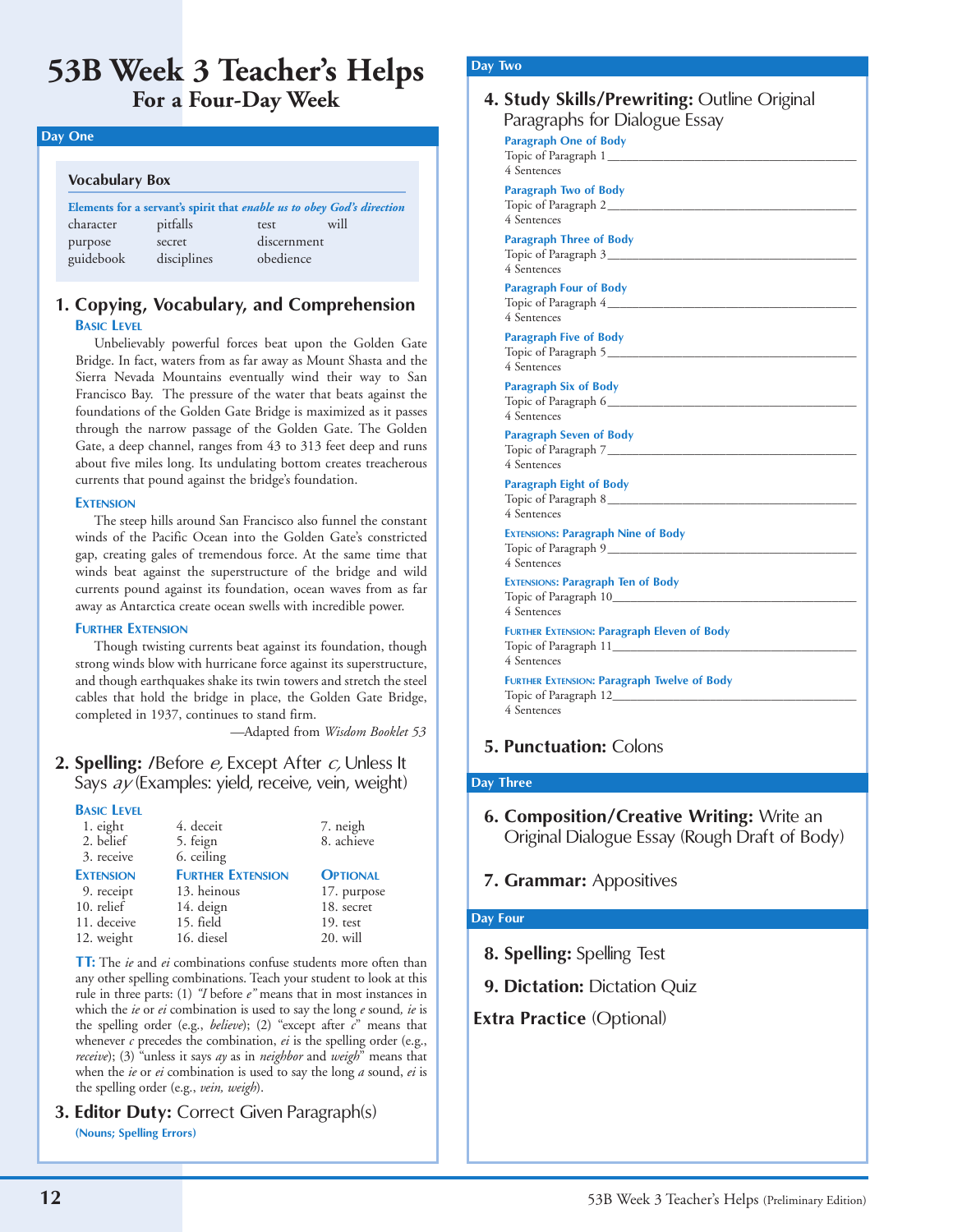## **53B Week 3 Teacher's Helps**

**For a Four-Day Week**

#### **Day One**

#### **Vocabulary Box**

|           | Elements for a servant's spirit that <i>enable us to obey God's direction</i> |             |      |
|-----------|-------------------------------------------------------------------------------|-------------|------|
| character | pitfalls                                                                      | test        | will |
| purpose   | secret                                                                        | discernment |      |
| guidebook | disciplines                                                                   | obedience   |      |

#### **1. Copying, Vocabulary, and Comprehension BASIC LEVEL**

Unbelievably powerful forces beat upon the Golden Gate Bridge. In fact, waters from as far away as Mount Shasta and the Sierra Nevada Mountains eventually wind their way to San Francisco Bay. The pressure of the water that beats against the foundations of the Golden Gate Bridge is maximized as it passes through the narrow passage of the Golden Gate. The Golden Gate, a deep channel, ranges from 43 to 313 feet deep and runs about five miles long. Its undulating bottom creates treacherous currents that pound against the bridge's foundation.

#### **EXTENSION**

The steep hills around San Francisco also funnel the constant winds of the Pacific Ocean into the Golden Gate's constricted gap, creating gales of tremendous force. At the same time that winds beat against the superstructure of the bridge and wild currents pound against its foundation, ocean waves from as far away as Antarctica create ocean swells with incredible power.

#### **FURTHER EXTENSION**

Though twisting currents beat against its foundation, though strong winds blow with hurricane force against its superstructure, and though earthquakes shake its twin towers and stretch the steel cables that hold the bridge in place, the Golden Gate Bridge, completed in 1937, continues to stand firm.

*—*Adapted from *Wisdom Booklet 53*

#### **2. Spelling:** *<sup>I</sup>* Before *e,* Except After *c,* Unless It Says *ay* (Examples: yield, receive, vein, weight)

#### **BASIC LEVEL**

| 1. eight         | 4. deceit                | 7. neigh        |
|------------------|--------------------------|-----------------|
| 2. belief        | 5. feign                 | 8. achieve      |
| 3. receive       | 6. ceiling               |                 |
| <b>EXTENSION</b> | <b>FURTHER EXTENSION</b> | <b>OPTIONAL</b> |
| 9. receipt       | 13. heinous              | 17. purpose     |
| 10. relief       | 14. deign                | 18. secret      |
| 11. deceive      | 15. field                | $19.$ test      |
| 12. weight       | 16. diesel               | 20. will        |

**TT:** The *ie* and *ei* combinations confuse students more often than any other spelling combinations. Teach your student to look at this rule in three parts: (1) *"I* before *e"* means that in most instances in which the *ie* or *ei* combination is used to say the long *e* sound*, ie* is the spelling order (e.g., *believe*); (2) "except after *c*" means that whenever *c* precedes the combination, *ei* is the spelling order (e.g., *receive*); (3) "unless it says *ay* as in *neighbor* and *weigh*" means that when the *ie* or *ei* combination is used to say the long *a* sound, *ei* is the spelling order (e.g., *vein, weigh*).

**3. Editor Duty:** Correct Given Paragraph(s) **(Nouns; Spelling Errors)**

#### **Day Two**

| ay Two                                                                                                        |  |
|---------------------------------------------------------------------------------------------------------------|--|
| 4. Study Skills/Prewriting: Outline Original<br>Paragraphs for Dialogue Essay<br><b>Paragraph One of Body</b> |  |
| 4 Sentences                                                                                                   |  |
| Paragraph Two of Body<br>Topic of Paragraph 2<br>4 Sentences                                                  |  |
| <b>Paragraph Three of Body</b><br>4 Sentences                                                                 |  |
| <b>Paragraph Four of Body</b><br>Topic of Paragraph 4<br>4 Sentences                                          |  |
| <b>Paragraph Five of Body</b><br>Topic of Paragraph 5<br>4 Sentences                                          |  |
| <b>Paragraph Six of Body</b><br>Topic of Paragraph 6<br>4 Sentences                                           |  |
| <b>Paragraph Seven of Body</b><br>4 Sentences                                                                 |  |
| Paragraph Eight of Body<br>Topic of Paragraph 8_________<br>4 Sentences                                       |  |
| <b>EXTENSIONS: Paragraph Nine of Body</b>                                                                     |  |
| 4 Sentences<br><b>EXTENSIONS: Paragraph Ten of Body</b><br>4 Sentences                                        |  |
| <b>FURTHER EXTENSION: Paragraph Eleven of Body</b><br>4 Sentences                                             |  |
| <b>FURTHER EXTENSION: Paragraph Twelve of Body</b><br>4 Sentences                                             |  |
| <b>5. Punctuation: Colons</b>                                                                                 |  |

#### **Day Three**

**6. Composition/Creative Writing:** Write an Original Dialogue Essay (Rough Draft of Body)

#### **7. Grammar:** Appositives

#### **Day Four**

- **8. Spelling:** Spelling Test
- **9. Dictation:** Dictation Quiz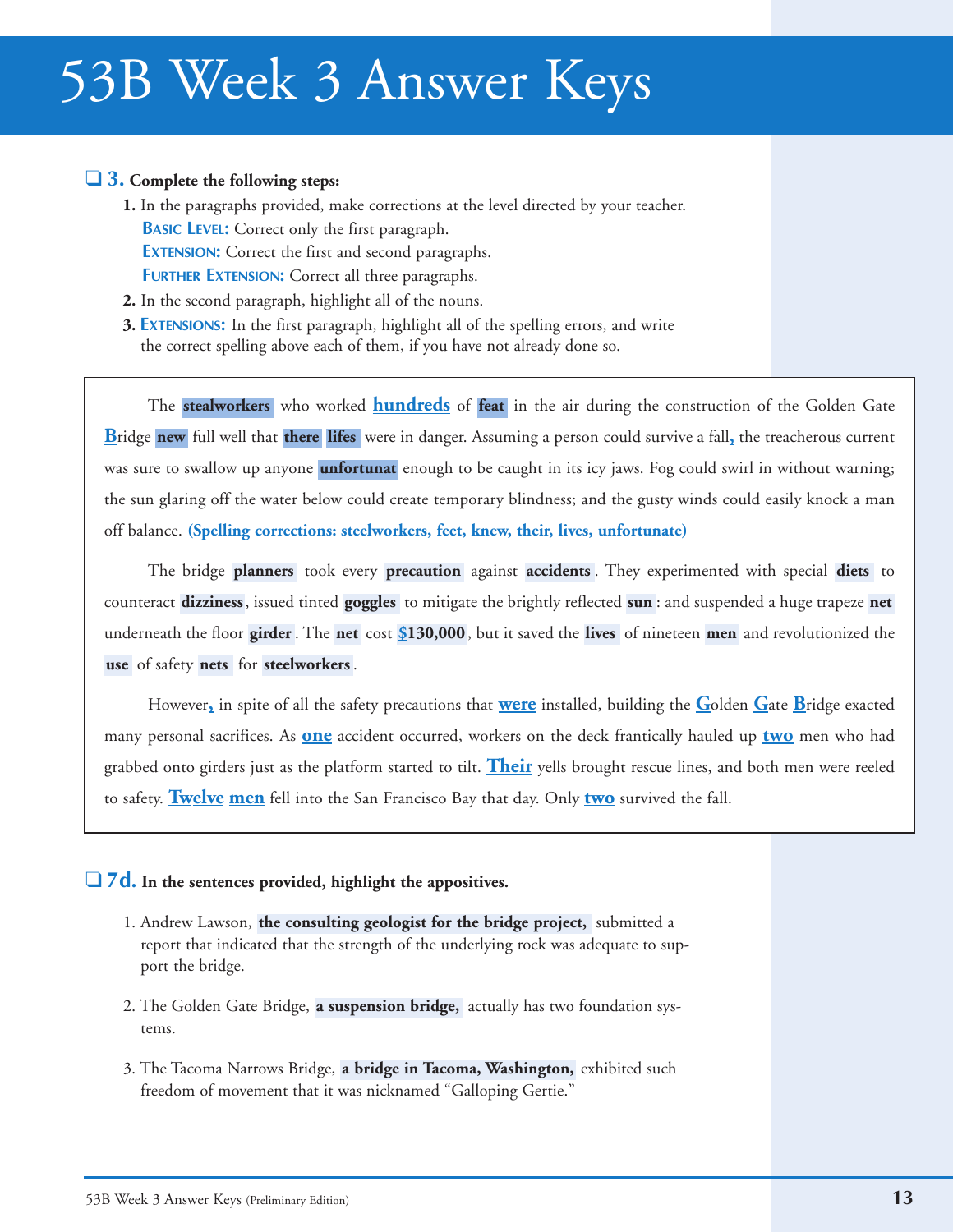# 53B Week 3 Answer Keys

#### ❑ **3. Complete the following steps:**

- **1.** In the paragraphs provided, make corrections at the level directed by your teacher. **BASIC LEVEL:** Correct only the first paragraph. **EXTENSION:** Correct the first and second paragraphs. **FURTHER EXTENSION:** Correct all three paragraphs.
- **2.** In the second paragraph, highlight all of the nouns.
- **3. EXTENSIONS:** In the first paragraph, highlight all of the spelling errors, and write the correct spelling above each of them, if you have not already done so.

The stealworkers who worked <mark>hundreds</mark> of feat in the air during the construction of the Golden Gate  ${\bf B}$ ridge  ${\bf new}$  full well that  ${\bf there}$  lifes were in danger. Assuming a person could survive a fall<u>,</u> the treacherous current was sure to swallow up anyone <mark>unfortunat</mark> enough to be caught in its icy jaws. Fog could swirl in without warning; the sun glaring off the water below could create temporary blindness; and the gusty winds could easily knock a man off balance. **(Spelling corrections: steelworkers, feet, knew, their, lives, unfortunate)**

The bridge **planners** took every **precaution** against **accidents**. They experimented with special **diets** to counteract **dizziness**, issued tinted **goggles** to mitigate the brightly reflected **sun** : and suspended a huge trapeze **net** underneath the floor **girder** . The net cost \$130,000, but it saved the lives of nineteen men and revolutionized the **use** of safety **nets** for **steelworkers**.

However**,** in spite of all the safety precautions that **were** installed, building the **G**olden **G**ate **B**ridge exacted many personal sacrifices. As **one** accident occurred, workers on the deck frantically hauled up **two** men who had grabbed onto girders just as the platform started to tilt. **Their** yells brought rescue lines, and both men were reeled to safety. **Twelve men** fell into the San Francisco Bay that day. Only **two** survived the fall.

### ❑ **7d. In the sentences provided, highlight the appositives.**

- 1. Andrew Lawson, the consulting geologist for the bridge project, submitted a report that indicated that the strength of the underlying rock was adequate to support the bridge.
- 2. The Golden Gate Bridge, **a suspension bridge,** actually has two foundation systems.
- 3. The Tacoma Narrows Bridge, **a bridge in Tacoma, Washington,** exhibited such freedom of movement that it was nicknamed "Galloping Gertie."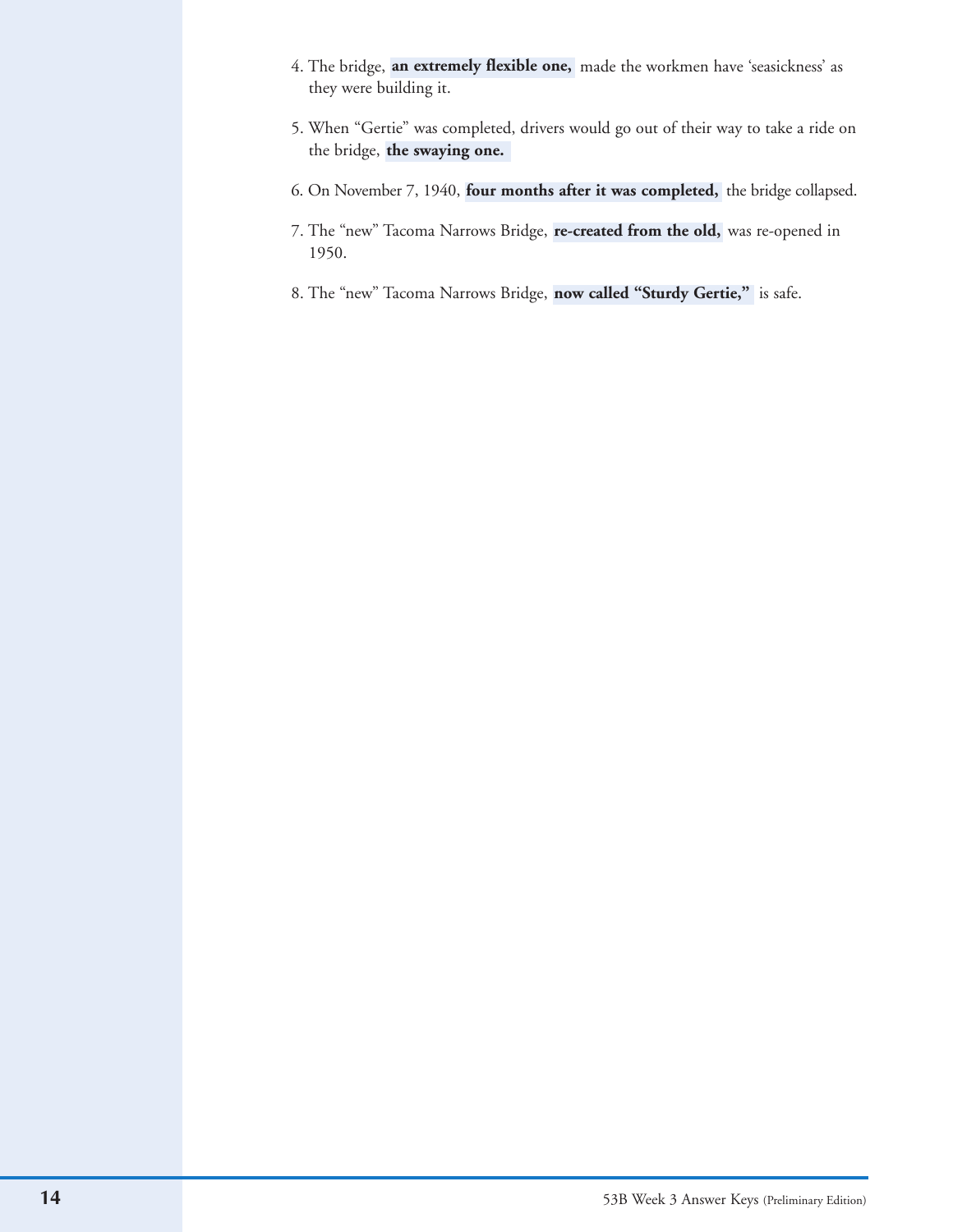- 4. The bridge, **an extremely flexible one,** made the workmen have 'seasickness' as they were building it.
- 5. When "Gertie" was completed, drivers would go out of their way to take a ride on the bridge, **the swaying one.**
- 6. On November 7, 1940, **four months after it was completed,** the bridge collapsed.
- 7. The "new" Tacoma Narrows Bridge, **re-created from the old,** was re-opened in 1950.
- 8. The "new" Tacoma Narrows Bridge, now called "Sturdy Gertie," is safe.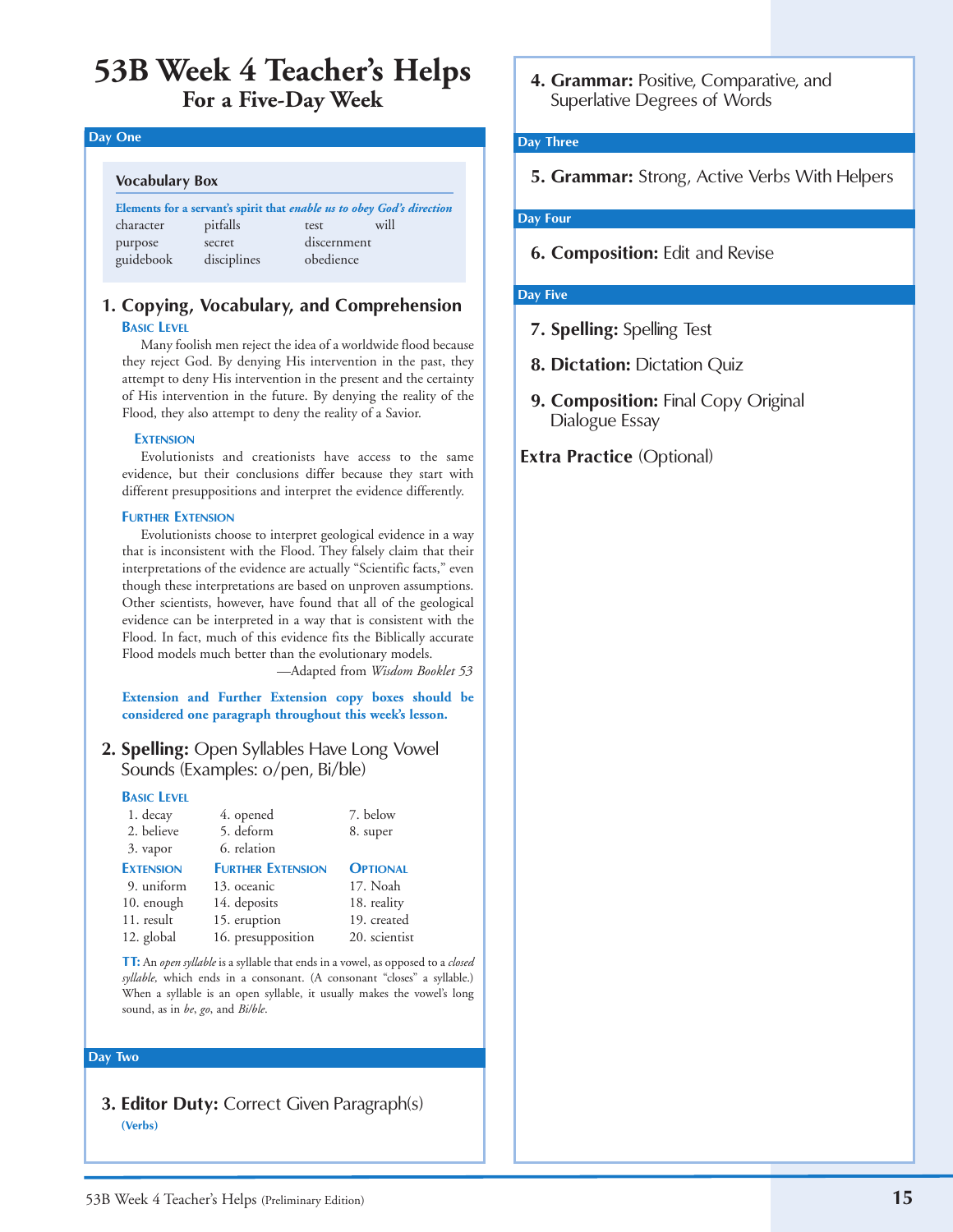### **53B Week 4 Teacher's Helps For a Five-Day Week**

#### **Day One**

#### **Vocabulary Box**

|                      | Elements for a servant's spirit that enable us to obey God's direction |                          |      |
|----------------------|------------------------------------------------------------------------|--------------------------|------|
| character            | pitfalls                                                               | test                     | will |
| purpose<br>guidebook | secret<br>disciplines                                                  | discernment<br>obedience |      |

#### **1. Copying, Vocabulary, and Comprehension BASIC LEVEL**

Many foolish men reject the idea of a worldwide flood because they reject God. By denying His intervention in the past, they attempt to deny His intervention in the present and the certainty of His intervention in the future. By denying the reality of the Flood, they also attempt to deny the reality of a Savior.

#### **EXTENSION**

Evolutionists and creationists have access to the same evidence, but their conclusions differ because they start with different presuppositions and interpret the evidence differently.

#### **FURTHER EXTENSION**

Evolutionists choose to interpret geological evidence in a way that is inconsistent with the Flood. They falsely claim that their interpretations of the evidence are actually "Scientific facts," even though these interpretations are based on unproven assumptions. Other scientists, however, have found that all of the geological evidence can be interpreted in a way that is consistent with the Flood. In fact, much of this evidence fits the Biblically accurate Flood models much better than the evolutionary models.

—Adapted from *Wisdom Booklet 53*

**Extension and Further Extension copy boxes should be considered one paragraph throughout this week's lesson.**

#### **2. Spelling:** Open Syllables Have Long Vowel Sounds (Examples: o/pen, Bi/ble)

#### **BASIC LEVEL**

| 1. decay         | 4. opened                | 7. below        |
|------------------|--------------------------|-----------------|
| 2. believe       | 5. deform                | 8. super        |
| 3. vapor         | 6. relation              |                 |
| <b>EXTENSION</b> | <b>FURTHER EXTENSION</b> | <b>OPTIONAL</b> |
| 9. uniform       | 13. oceanic              | 17. Noah        |
| 10. enough       | 14. deposits             | 18. reality     |
| 11. result       | 15. eruption             | 19. created     |
| 12. global       | 16. presupposition       | 20. scientist   |

**TT:** An *open syllable* is a syllable that ends in a vowel, as opposed to a *closed syllable,* which ends in a consonant. (A consonant "closes" a syllable.) When a syllable is an open syllable, it usually makes the vowel's long sound, as in *be*, *go*, and *Bi/ble*.

#### **Day Two**

**3. Editor Duty:** Correct Given Paragraph(s) **(Verbs)**

**4. Grammar:** Positive, Comparative, and Superlative Degrees of Words

#### **Day Three**

**5. Grammar:** Strong, Active Verbs With Helpers

#### **Day Four**

**6. Composition:** Edit and Revise

#### **Day Five**

- **7. Spelling:** Spelling Test
- **8. Dictation:** Dictation Quiz
- **9. Composition:** Final Copy Original Dialogue Essay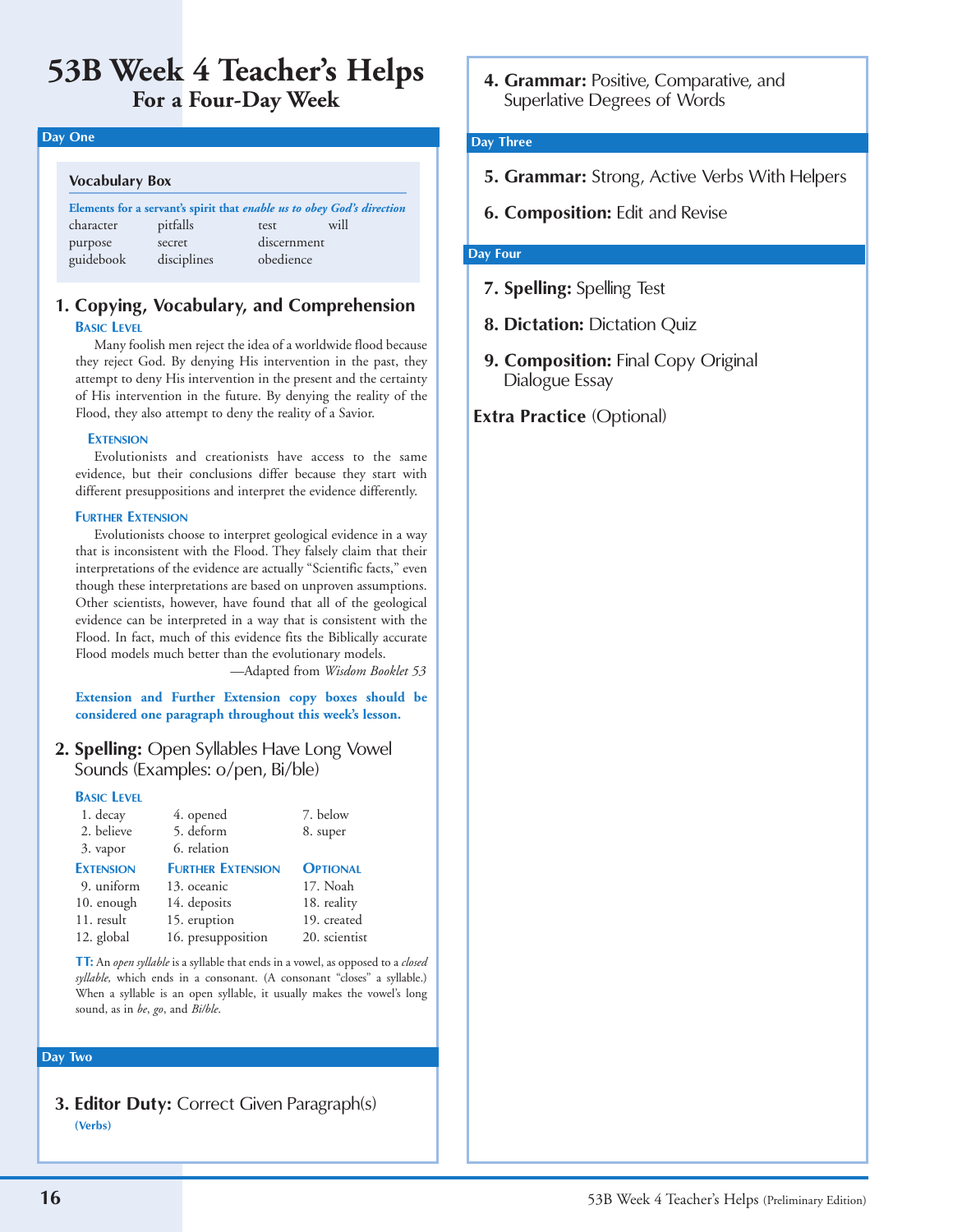### **53B Week 4 Teacher's Helps**

**For a Four-Day Week**

#### **Day One**

#### **Vocabulary Box**

|           | Elements for a servant's spirit that enable us to obey God's direction |             |      |
|-----------|------------------------------------------------------------------------|-------------|------|
| character | pitfalls                                                               | test        | will |
| purpose   | secret                                                                 | discernment |      |
| guidebook | disciplines                                                            | obedience   |      |

#### **1. Copying, Vocabulary, and Comprehension BASIC LEVEL**

Many foolish men reject the idea of a worldwide flood because they reject God. By denying His intervention in the past, they attempt to deny His intervention in the present and the certainty of His intervention in the future. By denying the reality of the Flood, they also attempt to deny the reality of a Savior.

#### **EXTENSION**

Evolutionists and creationists have access to the same evidence, but their conclusions differ because they start with different presuppositions and interpret the evidence differently.

#### **FURTHER EXTENSION**

Evolutionists choose to interpret geological evidence in a way that is inconsistent with the Flood. They falsely claim that their interpretations of the evidence are actually "Scientific facts," even though these interpretations are based on unproven assumptions. Other scientists, however, have found that all of the geological evidence can be interpreted in a way that is consistent with the Flood. In fact, much of this evidence fits the Biblically accurate Flood models much better than the evolutionary models.

—Adapted from *Wisdom Booklet 53*

**Extension and Further Extension copy boxes should be considered one paragraph throughout this week's lesson.**

#### **2. Spelling:** Open Syllables Have Long Vowel Sounds (Examples: o/pen, Bi/ble)

#### **BASIC LEVEL**

| 1. decay         | 4. opened                | 7. below        |
|------------------|--------------------------|-----------------|
| 2. believe       | 5. deform                | 8. super        |
| 3. vapor         | 6. relation              |                 |
| <b>EXTENSION</b> | <b>FURTHER EXTENSION</b> | <b>OPTIONAL</b> |
| 9. uniform       | 13. oceanic              | 17. Noah        |
| 10. enough       | 14. deposits             | 18. reality     |
| 11. result       | 15. eruption             | 19. created     |
| 12. global       | 16. presupposition       | 20. scientist   |

**TT:** An *open syllable* is a syllable that ends in a vowel, as opposed to a *closed syllable,* which ends in a consonant. (A consonant "closes" a syllable.) When a syllable is an open syllable, it usually makes the vowel's long sound, as in *be*, *go*, and *Bi/ble*.

#### **Day Two**

**3. Editor Duty:** Correct Given Paragraph(s) **(Verbs)**

**4. Grammar:** Positive, Comparative, and Superlative Degrees of Words

#### **Day Three**

- **5. Grammar:** Strong, Active Verbs With Helpers
- **6. Composition:** Edit and Revise

#### **Day Four**

- **7. Spelling:** Spelling Test
- **8. Dictation:** Dictation Quiz
- **9. Composition:** Final Copy Original Dialogue Essay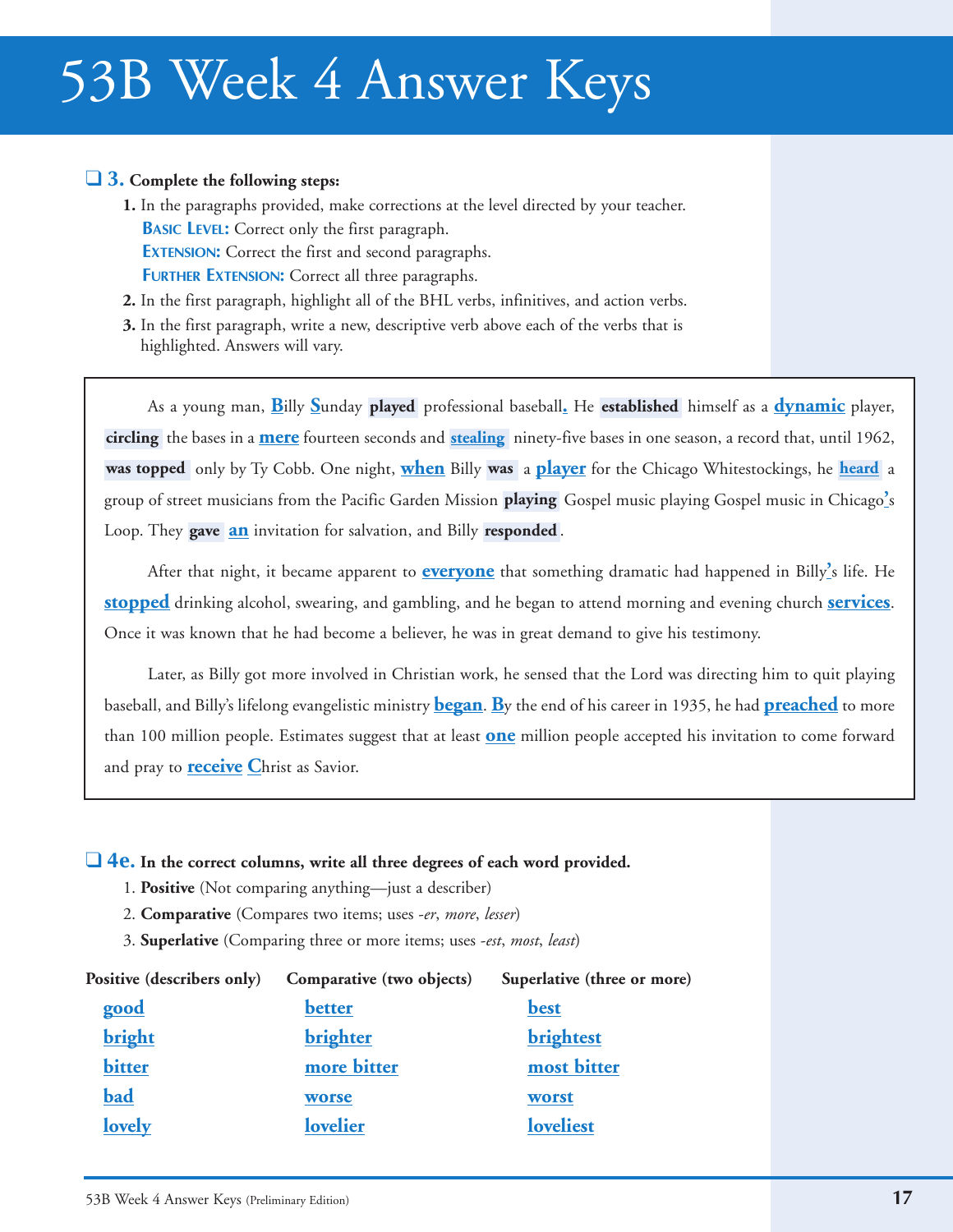# 53B Week 4 Answer Keys

#### ❑ **3. Complete the following steps:**

- **1.** In the paragraphs provided, make corrections at the level directed by your teacher. **BASIC LEVEL:** Correct only the first paragraph. **EXTENSION:** Correct the first and second paragraphs. **FURTHER EXTENSION:** Correct all three paragraphs.
- **2.** In the first paragraph, highlight all of the BHL verbs, infinitives, and action verbs.
- **3.** In the first paragraph, write a new, descriptive verb above each of the verbs that is highlighted. Answers will vary.

As a young man, <mark>B</mark>illy Sunday **played** professional baseball<u>.</u> He **established** himself as a dynamic player, circling the bases in a mere fourteen seconds and stealing ninety-five bases in one season, a record that, until 1962, **was topped** only by Ty Cobb. One night, <mark>when</mark> Billy was a player for the Chicago Whitestockings, he <mark>heard</mark> a group of street musicians from the Pacific Garden Mission **playing** Gospel music playing Gospel music in Chicago<u>'</u>s Loop. They **gave an** invitation for salvation, and Billy responded.

After that night, it became apparent to **everyone** that something dramatic had happened in Billy**'**s life. He **stopped** drinking alcohol, swearing, and gambling, and he began to attend morning and evening church **services**. Once it was known that he had become a believer, he was in great demand to give his testimony.

Later, as Billy got more involved in Christian work, he sensed that the Lord was directing him to quit playing baseball, and Billy's lifelong evangelistic ministry **began**. **B**y the end of his career in 1935, he had **preached** to more than 100 million people. Estimates suggest that at least **one** million people accepted his invitation to come forward and pray to **receive C**hrist as Savior.

#### ❑ **4e. In the correct columns, write all three degrees of each word provided.**

- 1. **Positive** (Not comparing anything—just a describer)
- 2. **Comparative** (Compares two items; uses -*er*, *more*, *lesser*)
- 3. **Superlative** (Comparing three or more items; uses -*est*, *most*, *least*)

| Positive (describers only) | Comparative (two objects) | Superlative (three or more) |
|----------------------------|---------------------------|-----------------------------|
| good                       | <b>better</b>             | <b>best</b>                 |
| bright                     | brighter                  | brightest                   |
| bitter                     | more bitter               | most bitter                 |
| bad                        | worse                     | worst                       |
| <b>lovely</b>              | <b>lovelier</b>           | loveliest                   |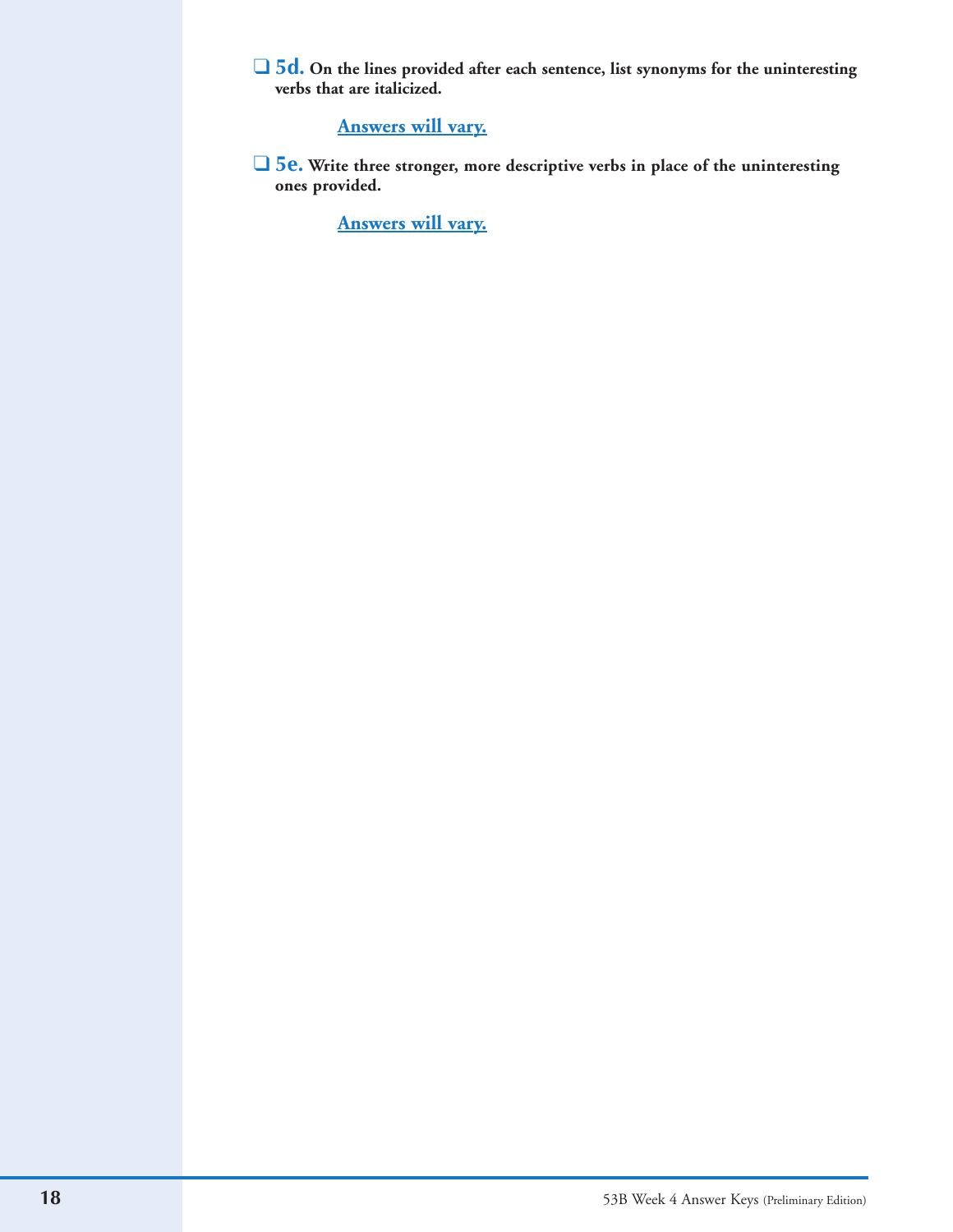❑ **5d. On the lines provided after each sentence, list synonyms for the uninteresting verbs that are italicized.**

**Answers will vary.**

❑ **5e. Write three stronger, more descriptive verbs in place of the uninteresting ones provided.** 

**Answers will vary.**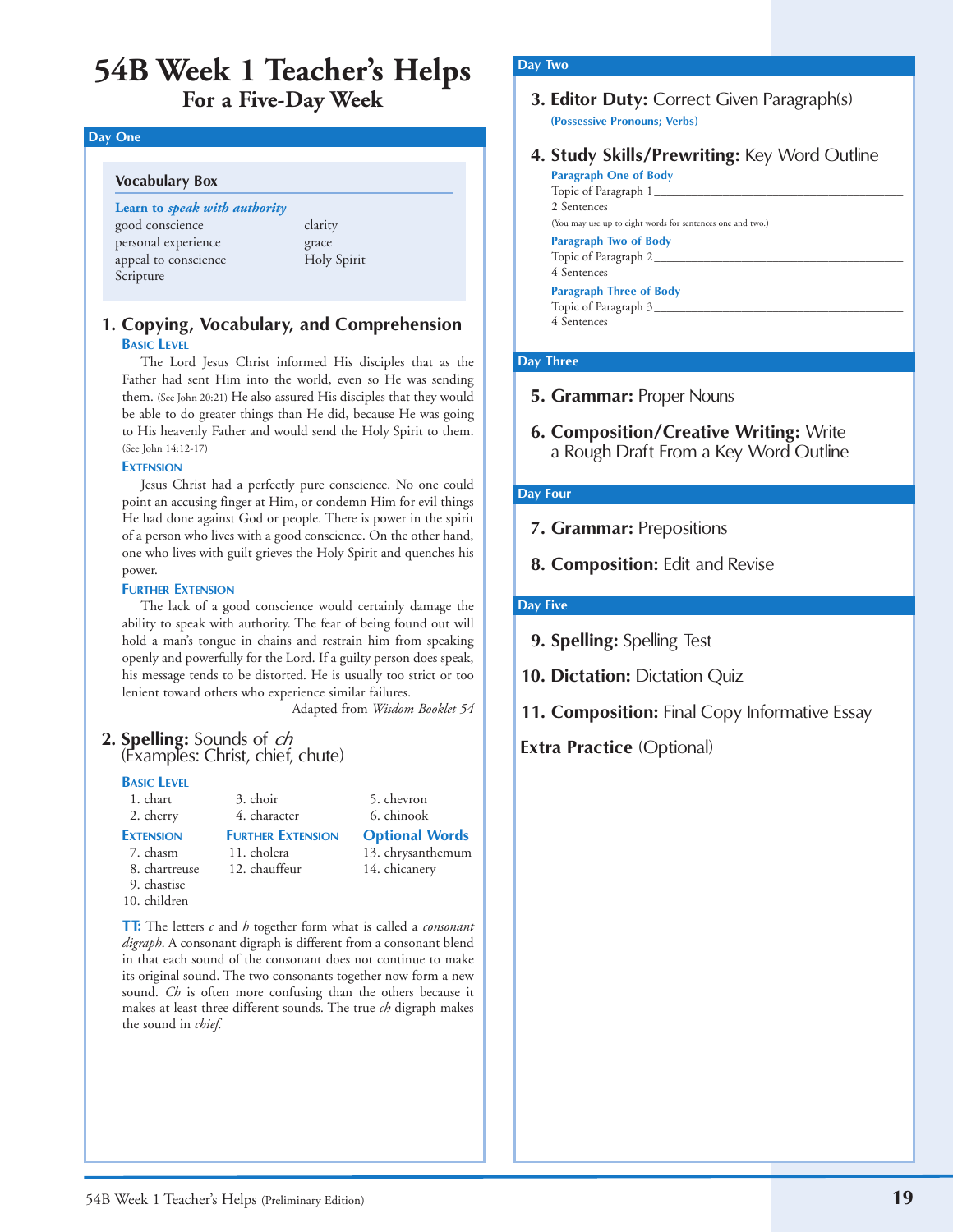### **54B Week 1 Teacher's Helps For a Five-Day Week**

#### **Day One**

#### **Vocabulary Box**

#### **Learn to** *speak with authority*

good conscience clarity personal experience grace appeal to conscience Holy Spirit Scripture

#### **1. Copying, Vocabulary, and Comprehension BASIC LEVEL**

The Lord Jesus Christ informed His disciples that as the Father had sent Him into the world, even so He was sending them. (See John 20:21) He also assured His disciples that they would be able to do greater things than He did, because He was going to His heavenly Father and would send the Holy Spirit to them. (See John 14:12-17)

#### **EXTENSION**

Jesus Christ had a perfectly pure conscience. No one could point an accusing finger at Him, or condemn Him for evil things He had done against God or people. There is power in the spirit of a person who lives with a good conscience. On the other hand, one who lives with guilt grieves the Holy Spirit and quenches his power.

#### **FURTHER EXTENSION**

The lack of a good conscience would certainly damage the ability to speak with authority. The fear of being found out will hold a man's tongue in chains and restrain him from speaking openly and powerfully for the Lord. If a guilty person does speak, his message tends to be distorted. He is usually too strict or too lenient toward others who experience similar failures.

—Adapted from *Wisdom Booklet 54*

#### **2. Spelling:** Sounds of *ch* (Examples: Christ, chief, chute)

#### **BASIC LEVEL**

| 1. chart         | 3. choir                 | 5. chevron            |
|------------------|--------------------------|-----------------------|
| 2. cherry        | 4. character             | 6. chinook            |
| <b>EXTENSION</b> | <b>FURTHER EXTENSION</b> | <b>Optional Words</b> |
| 7. chasm         | 11. cholera              | 13. chrysanthemum     |
| 8. chartreuse    | 12. chauffeur            | 14. chicanery         |
| 9. chastise      |                          |                       |
| 10. children     |                          |                       |

**TT:** The letters *c* and *h* together form what is called a *consonant digraph*. A consonant digraph is different from a consonant blend in that each sound of the consonant does not continue to make its original sound. The two consonants together now form a new sound. *Ch* is often more confusing than the others because it makes at least three different sounds. The true *ch* digraph makes the sound in *chief.*

#### **Day Two**

- **3. Editor Duty:** Correct Given Paragraph(s) **(Possessive Pronouns; Verbs)**
- **4. Study Skills/Prewriting:** Key Word Outline

| <b>Paragraph One of Body</b>                               |
|------------------------------------------------------------|
| Topic of Paragraph 1                                       |
| 2 Sentences                                                |
| (You may use up to eight words for sentences one and two.) |
| <b>Paragraph Two of Body</b>                               |
| Topic of Paragraph 2                                       |
| 4 Sentences                                                |
| <b>Paragraph Three of Body</b>                             |
| Topic of Paragraph 3                                       |
| 4 Sentences                                                |
|                                                            |

#### **Day Three**

- **5. Grammar:** Proper Nouns
- **6. Composition/Creative Writing:** Write a Rough Draft From a Key Word Outline

#### **Day Four**

- **7. Grammar:** Prepositions
- **8. Composition:** Edit and Revise

#### **Day Five**

- **9. Spelling:** Spelling Test
- **10. Dictation:** Dictation Quiz
- **11. Composition:** Final Copy Informative Essay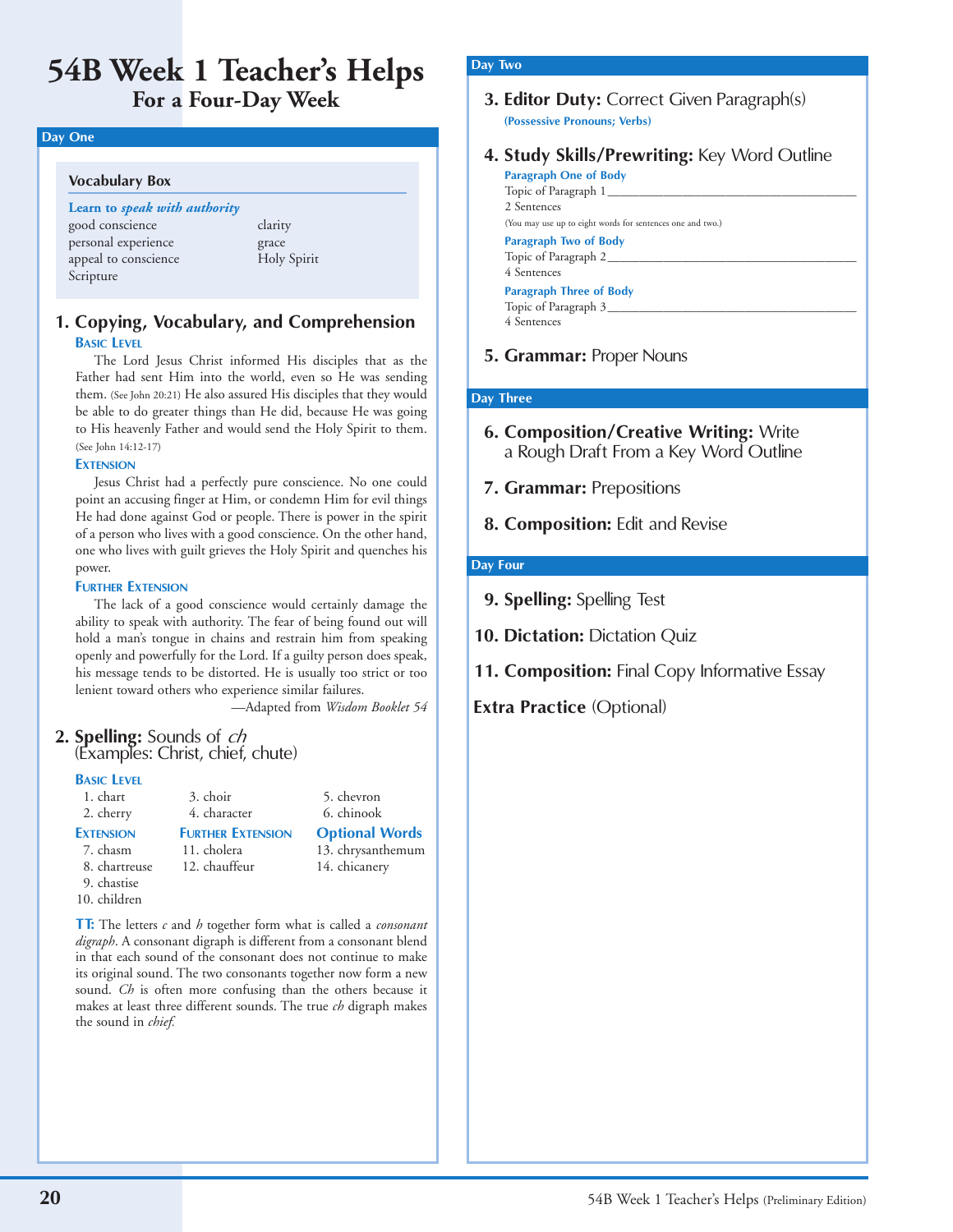### **54B Week 1 Teacher's Helps**

**For a Four-Day Week**

#### **Day One**

#### **Vocabulary Box**

| Learn to speak with authority |             |
|-------------------------------|-------------|
| good conscience               | clarity     |
| personal experience           | grace       |
| appeal to conscience          | Holy Spirit |
| Scripture                     |             |

#### **1. Copying, Vocabulary, and Comprehension BASIC LEVEL**

The Lord Jesus Christ informed His disciples that as the Father had sent Him into the world, even so He was sending them. (See John 20:21) He also assured His disciples that they would be able to do greater things than He did, because He was going to His heavenly Father and would send the Holy Spirit to them. (See John 14:12-17)

#### **EXTENSION**

Jesus Christ had a perfectly pure conscience. No one could point an accusing finger at Him, or condemn Him for evil things He had done against God or people. There is power in the spirit of a person who lives with a good conscience. On the other hand, one who lives with guilt grieves the Holy Spirit and quenches his power.

#### **FURTHER EXTENSION**

The lack of a good conscience would certainly damage the ability to speak with authority. The fear of being found out will hold a man's tongue in chains and restrain him from speaking openly and powerfully for the Lord. If a guilty person does speak, his message tends to be distorted. He is usually too strict or too lenient toward others who experience similar failures.

—Adapted from *Wisdom Booklet 54*

#### **2. Spelling:** Sounds of *ch* (Examples: Christ, chief, chute)

#### **BASIC LEVEL**

| 1. chart         | 3. choir                 | 5. chevron            |
|------------------|--------------------------|-----------------------|
| 2. cherry        | 4. character             | 6. chinook            |
| <b>EXTENSION</b> | <b>FURTHER EXTENSION</b> | <b>Optional Words</b> |
| 7. chasm         | 11. cholera              | 13. chrysanthemum     |
| 8. chartreuse    | 12. chauffeur            | 14. chicanery         |
| 9. chastise      |                          |                       |
| 10. children     |                          |                       |

**TT:** The letters *c* and *h* together form what is called a *consonant digraph*. A consonant digraph is different from a consonant blend in that each sound of the consonant does not continue to make its original sound. The two consonants together now form a new sound. *Ch* is often more confusing than the others because it makes at least three different sounds. The true *ch* digraph makes the sound in *chief.*

#### **Day Two**

- **3. Editor Duty:** Correct Given Paragraph(s) **(Possessive Pronouns; Verbs)**
- **4. Study Skills/Prewriting:** Key Word Outline

| <b>Paragraph One of Body</b>                               |
|------------------------------------------------------------|
| Topic of Paragraph 1                                       |
| 2. Sentences                                               |
| (You may use up to eight words for sentences one and two.) |
| <b>Paragraph Two of Body</b>                               |
| Topic of Paragraph 2                                       |
| 4 Sentences                                                |
| <b>Paragraph Three of Body</b>                             |
| Topic of Paragraph 3                                       |
| 4 Sentences                                                |
|                                                            |

**5. Grammar:** Proper Nouns

#### **Day Three**

- **6. Composition/Creative Writing:** Write a Rough Draft From a Key Word Outline
- **7. Grammar:** Prepositions
- **8. Composition:** Edit and Revise

#### **Day Four**

- **9. Spelling:** Spelling Test
- **10. Dictation:** Dictation Quiz

**11. Composition:** Final Copy Informative Essay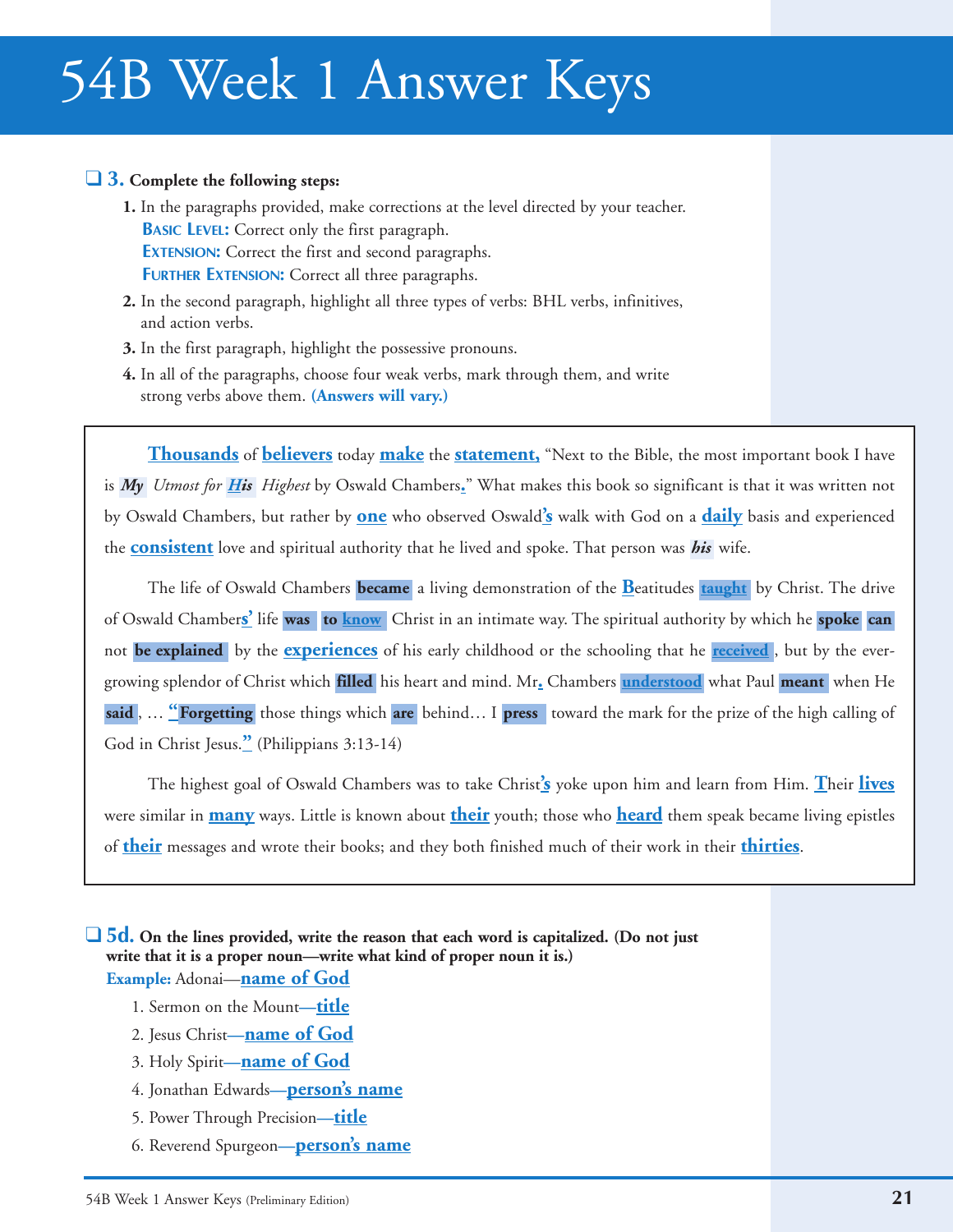## 54B Week 1 Answer Keys

#### ❑ **3. Complete the following steps:**

- **1.** In the paragraphs provided, make corrections at the level directed by your teacher. **BASIC LEVEL:** Correct only the first paragraph. **EXTENSION:** Correct the first and second paragraphs. **FURTHER EXTENSION:** Correct all three paragraphs.
- **2.** In the second paragraph, highlight all three types of verbs: BHL verbs, infinitives, and action verbs.
- **3.** In the first paragraph, highlight the possessive pronouns.
- **4.** In all of the paragraphs, choose four weak verbs, mark through them, and write strong verbs above them. **(Answers will vary.)**

**Thousands** of **believers** today **make** the **statement,** "Next to the Bible, the most important book I have is *My Utmost for His Highest* by Oswald Chambers<u>.</u>" What makes this book so significant is that it was written not by Oswald Chambers, but rather by **one** who observed Oswald**'s** walk with God on a **daily** basis and experienced the **consistent** love and spiritual authority that he lived and spoke. That person was *his* wife.

The life of Oswald Chambers <mark>became</mark> a living demonstration of the <mark>B</mark>eatitudes taught by Christ. The drive of Oswald Chamber<mark>s'</mark> life was to know Christ in an intimate way. The spiritual authority by which he spoke can not be explained by the **experiences** of his early childhood or the schooling that he received , but by the evergrowing splendor of Christ which <mark>filled</mark> his heart and mind. Mr<u>.</u> Chambers <mark>understood</mark> what Paul <mark>meant</mark> when He  $s$ aid , … "Forgetting those things which are behind… I press toward the mark for the prize of the high calling of God in Christ Jesus.**"** (Philippians 3:13-14)

The highest goal of Oswald Chambers was to take Christ**'s** yoke upon him and learn from Him. **T**heir **lives** were similar in **many** ways. Little is known about **their** youth; those who **heard** them speak became living epistles of **their** messages and wrote their books; and they both finished much of their work in their **thirties**.

❑ **5d. On the lines provided, write the reason that each word is capitalized. (Do not just write that it is a proper noun—write what kind of proper noun it is.) Example:** Adonai—**name of God**

- 1. Sermon on the Mount**—title**
- 2. Jesus Christ**—name of God**
- 3. Holy Spirit**—name of God**
- 4. Jonathan Edwards**—person's name**
- 5. Power Through Precision**—title**
- 6. Reverend Spurgeon**—person's name**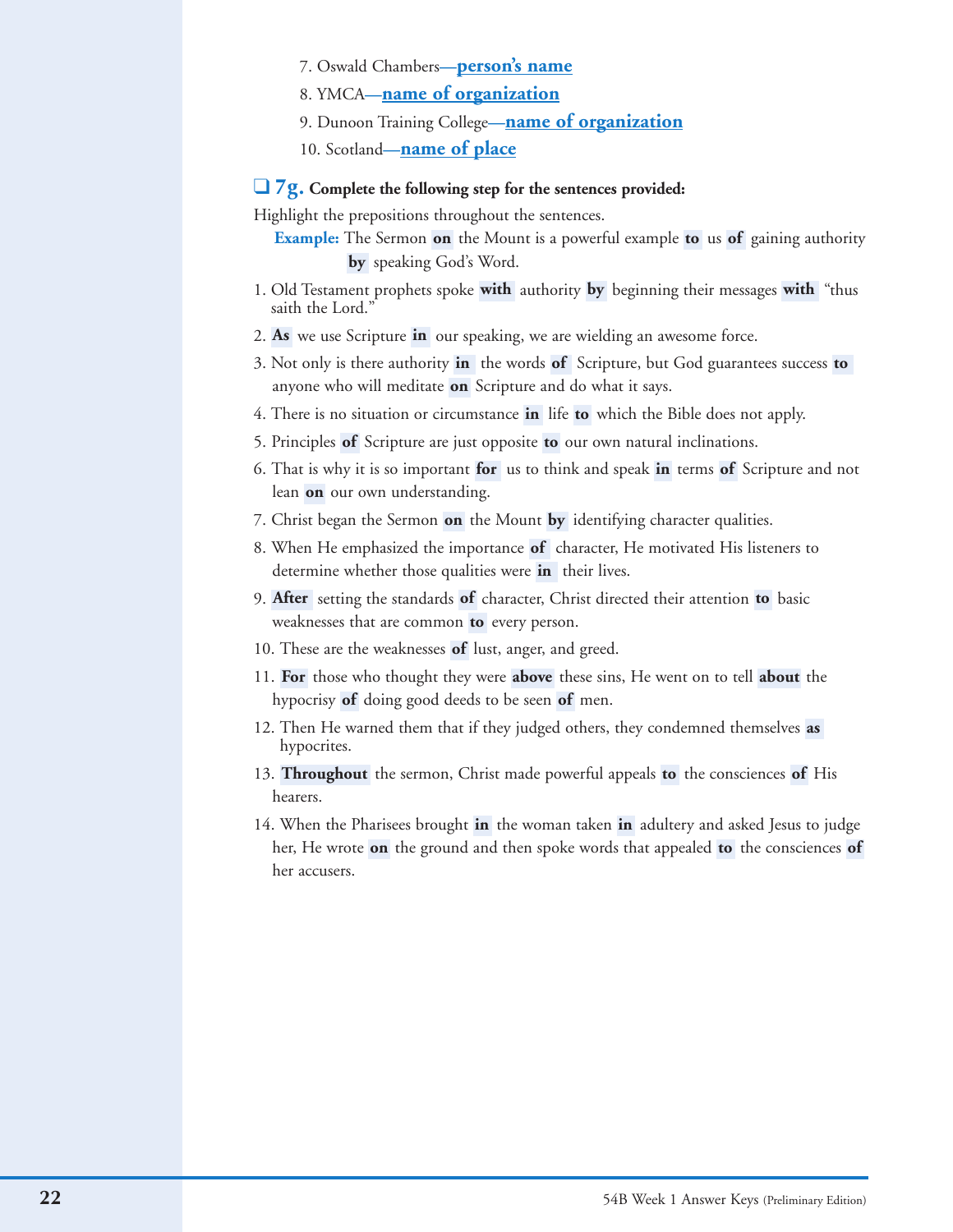- 7. Oswald Chambers**—person's name**
- 8. YMCA**—name of organization**
- 9. Dunoon Training College**—name of organization**
- 10. Scotland**—name of place**

#### ❑ **7g. Complete the following step for the sentences provided:**

Highlight the prepositions throughout the sentences.

- **Example:** The Sermon on the Mount is a powerful example to us of gaining authority speaking God's Word. **by**
- 1. Old Testament prophets spoke with authority by beginning their messages with "thus saith the Lord."
- 2. As we use Scripture in our speaking, we are wielding an awesome force.
- 3. Not only is there authority **in** the words **of** Scripture, but God guarantees success **to** anyone who will meditate **on** Scripture and do what it says.
- 4. There is no situation or circumstance in life to which the Bible does not apply.
- 5. Principles of Scripture are just opposite to our own natural inclinations.
- 6. That is why it is so important for us to think and speak in terms of Scripture and not lean our own understanding. **on**
- 7. Christ began the Sermon on the Mount by identifying character qualities.
- 8. When He emphasized the importance of character, He motivated His listeners to determine whether those qualities were in their lives.
- **9. After** setting the standards of character, Christ directed their attention to basic weaknesses that are common to every person.
- 10. These are the weaknesses of lust, anger, and greed.
- 11. For those who thought they were above these sins, He went on to tell about the hypocrisy **of** doing good deeds to be seen **of** men.
- 12. Then He warned them that if they judged others, they condemned themselves **as** hypocrites.
- 13. Throughout the sermon, Christ made powerful appeals to the consciences of His hearers.
- 14. When the Pharisees brought in the woman taken in adultery and asked Jesus to judge her, He wrote  $\mathbf{on}$  the ground and then spoke words that appealed  $\mathbf{to}$  the consciences  $\mathbf{of}$ her accusers.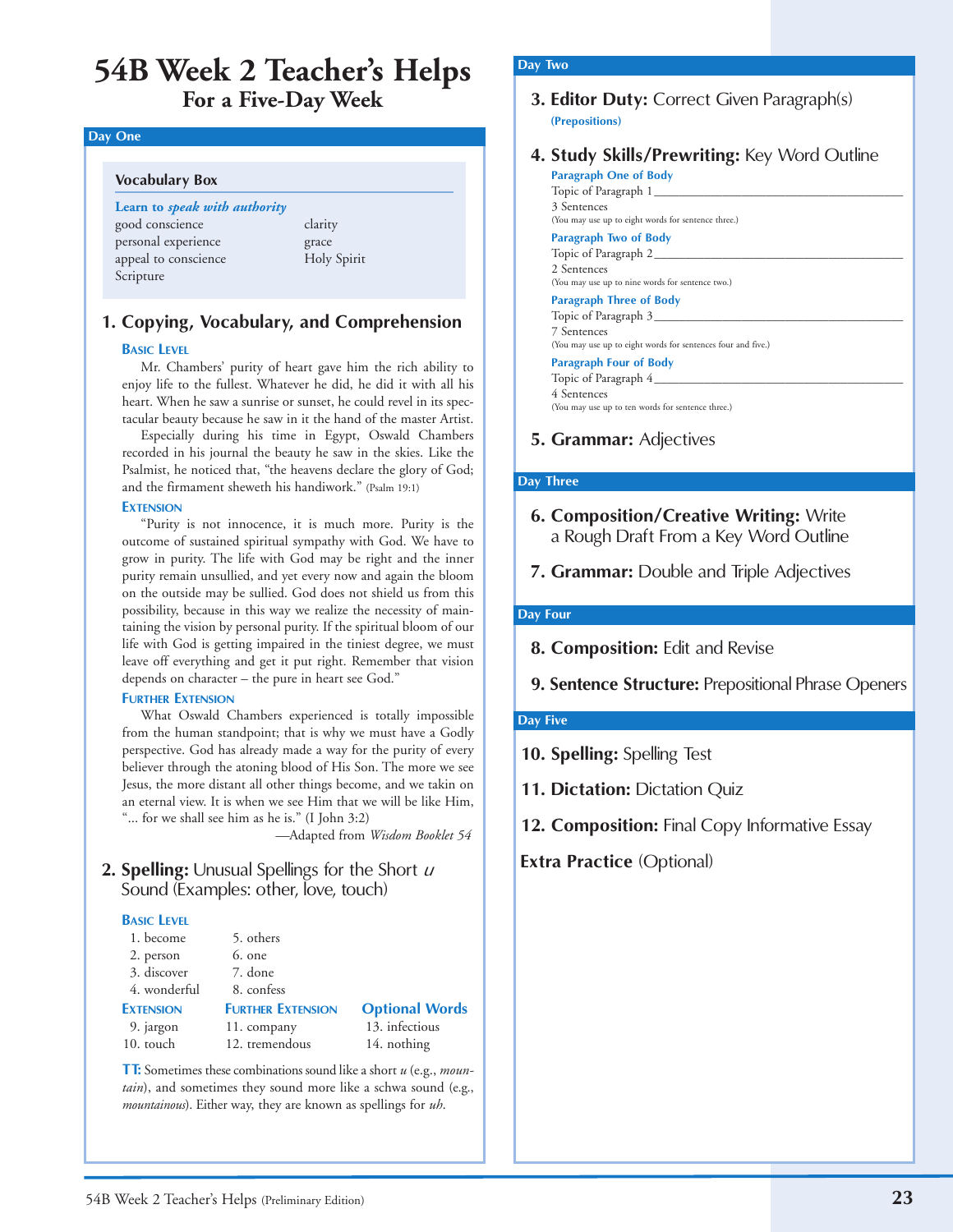### **54B Week 2 Teacher's Helps For a Five-Day Week**

#### **Day One**

#### **Vocabulary Box**

#### **Learn to** *speak with authority*

good conscience clarity personal experience grace appeal to conscience Holy Spirit Scripture

#### **1. Copying, Vocabulary, and Comprehension**

#### **BASIC LEVEL**

Mr. Chambers' purity of heart gave him the rich ability to enjoy life to the fullest. Whatever he did, he did it with all his heart. When he saw a sunrise or sunset, he could revel in its spectacular beauty because he saw in it the hand of the master Artist.

Especially during his time in Egypt, Oswald Chambers recorded in his journal the beauty he saw in the skies. Like the Psalmist, he noticed that, "the heavens declare the glory of God; and the firmament sheweth his handiwork." (Psalm 19:1)

#### **EXTENSION**

"Purity is not innocence, it is much more. Purity is the outcome of sustained spiritual sympathy with God. We have to grow in purity. The life with God may be right and the inner purity remain unsullied, and yet every now and again the bloom on the outside may be sullied. God does not shield us from this possibility, because in this way we realize the necessity of maintaining the vision by personal purity. If the spiritual bloom of our life with God is getting impaired in the tiniest degree, we must leave off everything and get it put right. Remember that vision depends on character – the pure in heart see God."

#### **FURTHER EXTENSION**

What Oswald Chambers experienced is totally impossible from the human standpoint; that is why we must have a Godly perspective. God has already made a way for the purity of every believer through the atoning blood of His Son. The more we see Jesus, the more distant all other things become, and we takin on an eternal view. It is when we see Him that we will be like Him, "... for we shall see him as he is." (I John 3:2)

*—*Adapted from *Wisdom Booklet 54* 

#### **2. Spelling:** Unusual Spellings for the Short *<sup>u</sup>* Sound (Examples: other, love, touch)

#### **BASIC LEVEL**

| 1. become        | 5. others                |                       |
|------------------|--------------------------|-----------------------|
| 2. person        | 6. one                   |                       |
| 3. discover      | 7. done                  |                       |
| 4. wonderful     | 8. confess               |                       |
| <b>EXTENSION</b> | <b>FURTHER EXTENSION</b> | <b>Optional Words</b> |
| 9. jargon        | 11. company              | 13. infectious        |
| 10. touch        | 12. tremendous           | 14. nothing           |

**TT:** Sometimes these combinations sound like a short *u* (e.g., *mountain*), and sometimes they sound more like a schwa sound (e.g., *mountainous*). Either way, they are known as spellings for *uh*.

#### **Day Two**

- **3. Editor Duty:** Correct Given Paragraph(s) **(Prepositions)**
- **4. Study Skills/Prewriting:** Key Word Outline

| <b>Paragraph One of Body</b>                                 |
|--------------------------------------------------------------|
| Topic of Paragraph 1                                         |
| 3 Sentences                                                  |
| (You may use up to eight words for sentence three.)          |
| Paragraph Two of Body                                        |
| Topic of Paragraph 2                                         |
| 2 Sentences                                                  |
| (You may use up to nine words for sentence two.)             |
| <b>Paragraph Three of Body</b>                               |
| Topic of Paragraph 3                                         |
| 7 Sentences                                                  |
| (You may use up to eight words for sentences four and five.) |
| <b>Paragraph Four of Body</b>                                |
| Topic of Paragraph 4_____                                    |
| 4 Sentences                                                  |
| (You may use up to ten words for sentence three.)            |

**5. Grammar:** Adjectives

#### **Day Three**

- **6. Composition/Creative Writing:** Write a Rough Draft From a Key Word Outline
- **7. Grammar:** Double and Triple Adjectives

#### **Day Four**

- **8. Composition:** Edit and Revise
- **9. Sentence Structure:** Prepositional Phrase Openers

#### **Day Five**

- **10. Spelling:** Spelling Test
- **11. Dictation:** Dictation Quiz
- **12. Composition:** Final Copy Informative Essay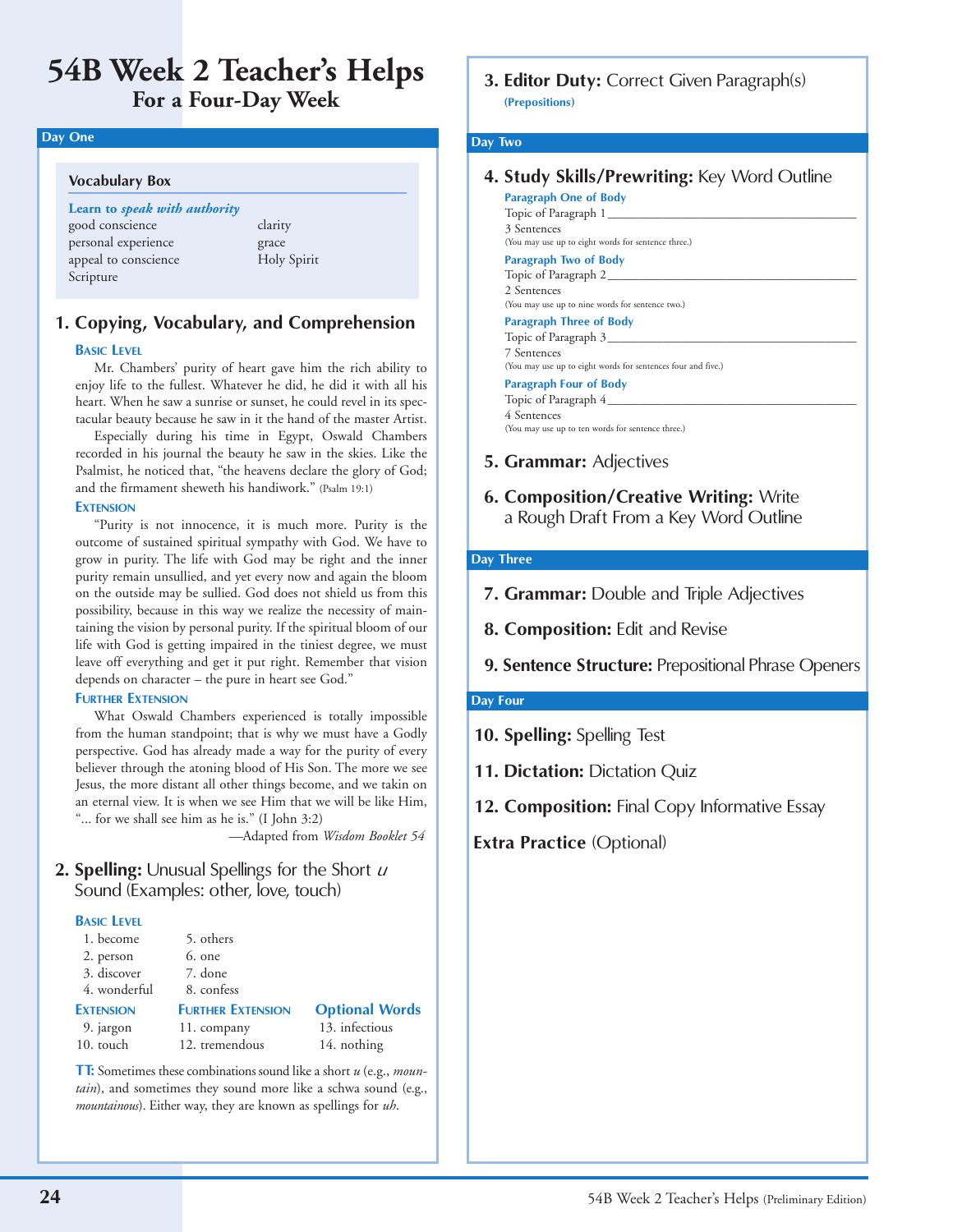## **54B Week 2 Teacher's Helps**

**For a Four-Day Week**

#### **Day One**

#### **Vocabulary Box**

| Learn to speak with authority |             |
|-------------------------------|-------------|
| good conscience               | clarity     |
| personal experience           | grace       |
| appeal to conscience          | Holy Spirit |
| Scripture                     |             |

#### **1. Copying, Vocabulary, and Comprehension**

#### **BASIC LEVEL**

Mr. Chambers' purity of heart gave him the rich ability to enjoy life to the fullest. Whatever he did, he did it with all his heart. When he saw a sunrise or sunset, he could revel in its spectacular beauty because he saw in it the hand of the master Artist.

Especially during his time in Egypt, Oswald Chambers recorded in his journal the beauty he saw in the skies. Like the Psalmist, he noticed that, "the heavens declare the glory of God; and the firmament sheweth his handiwork." (Psalm 19:1)

#### **EXTENSION**

"Purity is not innocence, it is much more. Purity is the outcome of sustained spiritual sympathy with God. We have to grow in purity. The life with God may be right and the inner purity remain unsullied, and yet every now and again the bloom on the outside may be sullied. God does not shield us from this possibility, because in this way we realize the necessity of maintaining the vision by personal purity. If the spiritual bloom of our life with God is getting impaired in the tiniest degree, we must leave off everything and get it put right. Remember that vision depends on character – the pure in heart see God."

#### **FURTHER EXTENSION**

What Oswald Chambers experienced is totally impossible from the human standpoint; that is why we must have a Godly perspective. God has already made a way for the purity of every believer through the atoning blood of His Son. The more we see Jesus, the more distant all other things become, and we takin on an eternal view. It is when we see Him that we will be like Him, "... for we shall see him as he is." (I John 3:2)

*—*Adapted from *Wisdom Booklet 54* 

#### **2. Spelling:** Unusual Spellings for the Short *<sup>u</sup>* Sound (Examples: other, love, touch)

#### **BASIC LEVEL**

| 1. become        | 5. others                |                       |
|------------------|--------------------------|-----------------------|
| 2. person        | 6. one                   |                       |
| 3. discover      | 7. done                  |                       |
| 4. wonderful     | 8. confess               |                       |
| <b>EXTENSION</b> | <b>FURTHER EXTENSION</b> | <b>Optional Words</b> |
| 9. jargon        | 11. company              | 13. infectious        |
| 10. touch        | 12. tremendous           | 14. nothing           |

**TT:** Sometimes these combinations sound like a short *u* (e.g., *mountain*), and sometimes they sound more like a schwa sound (e.g., *mountainous*). Either way, they are known as spellings for *uh*.

**3. Editor Duty:** Correct Given Paragraph(s) **(Prepositions)**

#### **Day Two**

- **4. Study Skills/Prewriting:** Key Word Outline
	- **Paragraph One of Body** Topic of Paragraph 1 3 Sentences (You may use up to eight words for sentence three.) **Paragraph Two of Body** Topic of Paragraph 2

2 Sentences (You may use up to nine words for sentence two.)

#### **Paragraph Three of Body** Topic of Paragraph 3\_

7 Sentences (You may use up to eight words for sentences four and five.)

**Paragraph Four of Body**

#### Topic of Paragraph  $4$ 4 Sentences

(You may use up to ten words for sentence three.)

- **5. Grammar:** Adjectives
- **6. Composition/Creative Writing:** Write a Rough Draft From a Key Word Outline

#### **Day Three**

- **7. Grammar:** Double and Triple Adjectives
- **8. Composition:** Edit and Revise
- **9. Sentence Structure:** Prepositional Phrase Openers

#### **Day Four**

- **10. Spelling:** Spelling Test
- **11. Dictation:** Dictation Quiz
- **12. Composition:** Final Copy Informative Essay
- **Extra Practice** (Optional)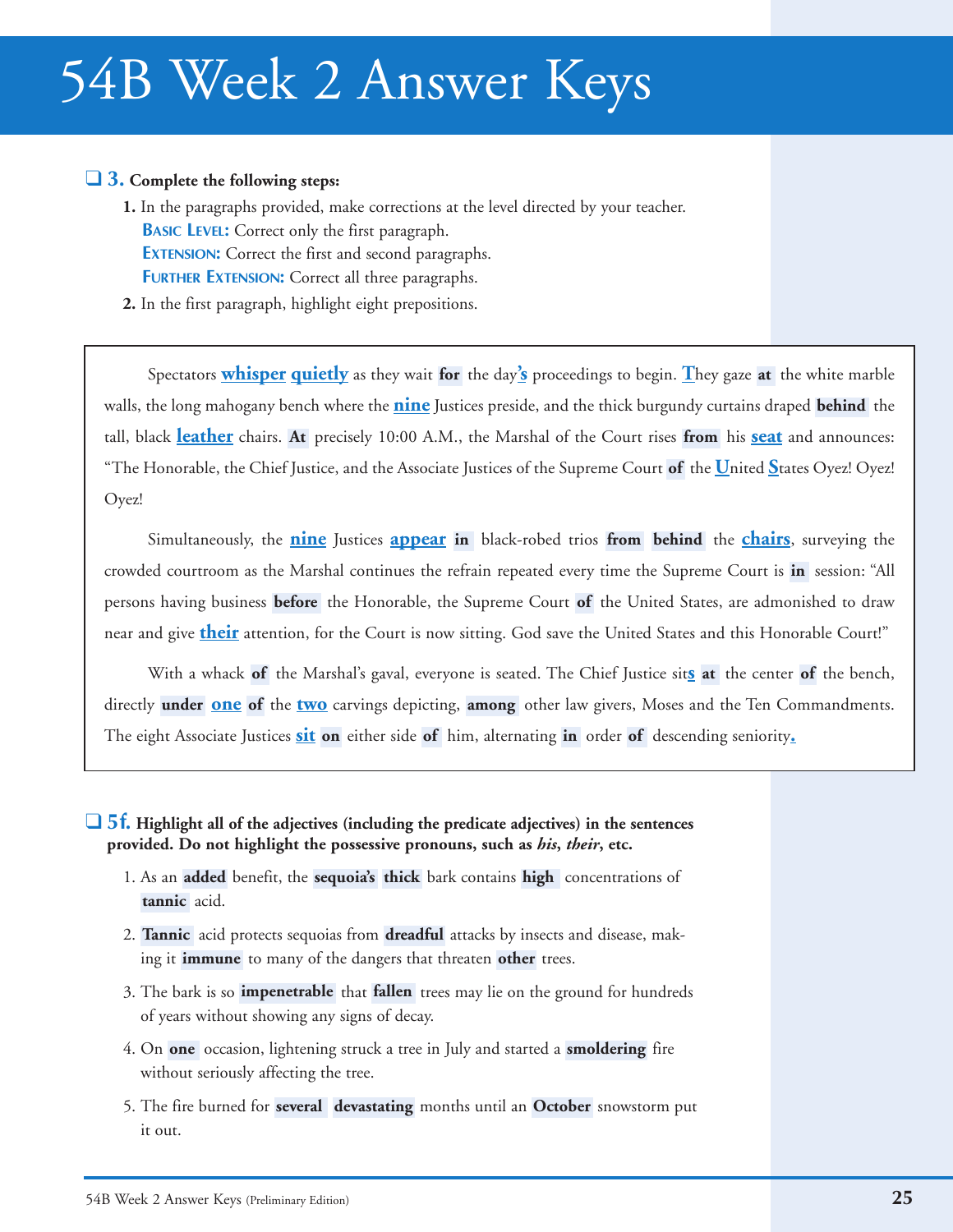# 54B Week 2 Answer Keys

#### ❑ **3. Complete the following steps:**

- **1.** In the paragraphs provided, make corrections at the level directed by your teacher. **BASIC LEVEL:** Correct only the first paragraph. **EXTENSION:** Correct the first and second paragraphs. **FURTHER EXTENSION:** Correct all three paragraphs.
- **2.** In the first paragraph, highlight eight prepositions.

Spectators  $\frac{ \textbf{whisper}\textbf{quer}}{ \textbf{quietly}}$  as they wait  $\textbf{for}\text{ the day}\textbf{'s}$  proceedings to begin.  $\textbf{The}$ y gaze  $\textbf{at}\text{ the white marble}$ walls, the long mahogany bench where the <mark>nine</mark> Justices preside, and the thick burgundy curtains draped **behind** the tall, black <mark>leather</mark> chairs. At precisely 10:00 A.M., the Marshal of the Court rises from his <u>seat</u> and announces: "The Honorable, the Chief Justice, and the Associate Justices of the Supreme Court the **U**nited **S**tates Oyez! Oyez! **of** Oyez!

Simultaneously, the <mark>nine</mark> Justices appear in black-robed trios from behind the chairs, surveying the crowded courtroom as the Marshal continues the refrain repeated every time the Supreme Court is in session: "All persons having business **before** the Honorable, the Supreme Court **of** the United States, are admonished to draw near and give **their** attention, for the Court is now sitting. God save the United States and this Honorable Court!"

With a whack of the Marshal's gaval, everyone is seated. The Chief Justice sits at the center of the bench, directly under one of the two carvings depicting, among other law givers, Moses and the Ten Commandments. The eight Associate Justices *sit* on either side of him, alternating in order of descending seniority.

❑ **5f. Highlight all of the adjectives (including the predicate adjectives) in the sentences provided. Do not highlight the possessive pronouns, such as** *his***,** *their***, etc.**

- 1. As an **added** benefit, the **sequoia's** thick bark contains high concentrations of tannic acid.
- 2. Tannic acid protects sequoias from dreadful attacks by insects and disease, making it *immune* to many of the dangers that threaten other trees.
- 3. The bark is so **impenetrable** that **fallen** trees may lie on the ground for hundreds of years without showing any signs of decay.
- 4. On **one** occasion, lightening struck a tree in July and started a **smoldering** fire without seriously affecting the tree.
- 5. The fire burned for several devastating months until an October snowstorm put it out.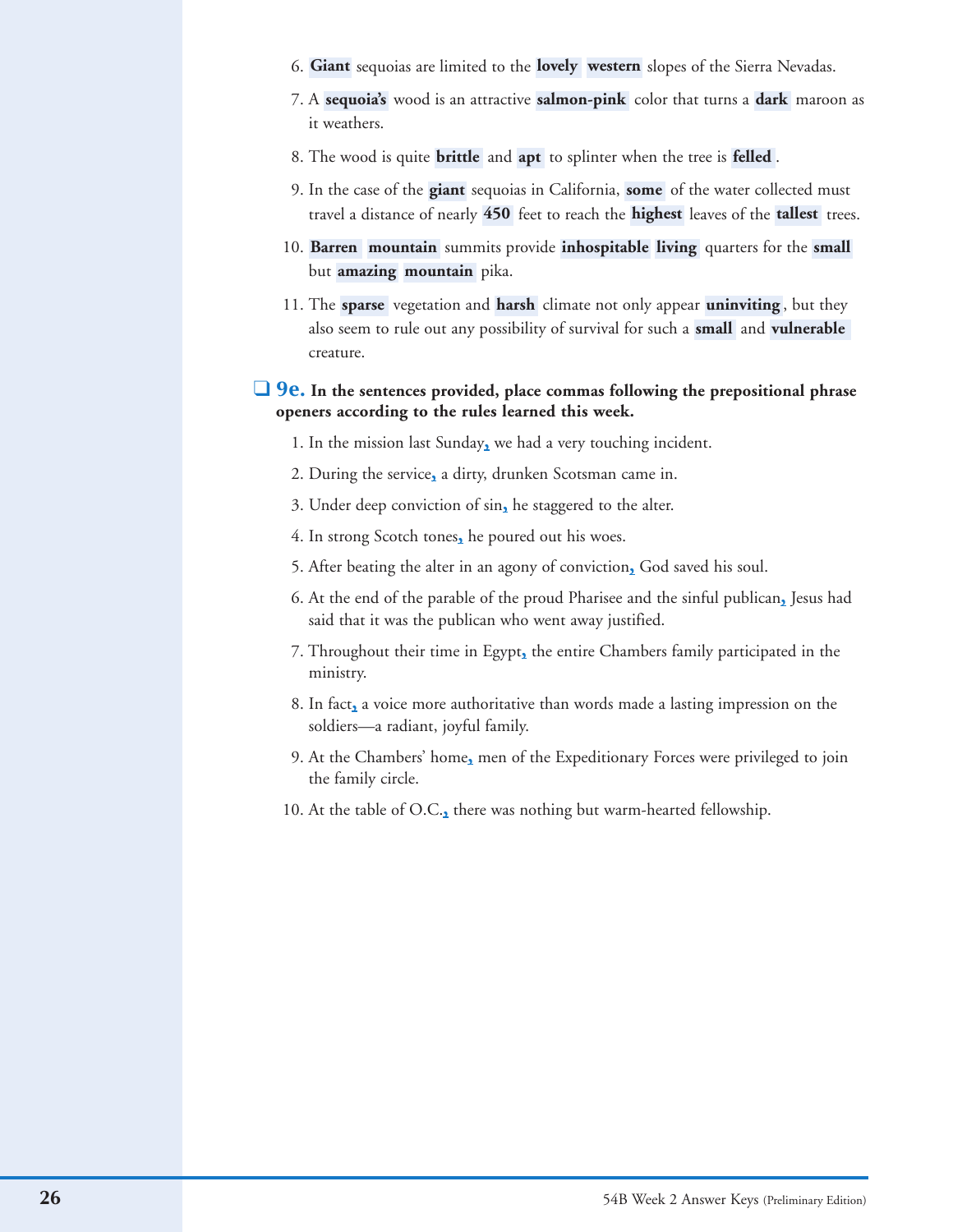- 6. Giant sequoias are limited to the lovely western slopes of the Sierra Nevadas.
- 7. A sequoia's wood is an attractive salmon-pink color that turns a dark maroon as it weathers.
- 8. The wood is quite **brittle** and **apt** to splinter when the tree is **felled**.
- 9. In the case of the **giant** sequoias in California, **some** of the water collected must travel a distance of nearly 450 feet to reach the **highest** leaves of the **tallest** trees.
- 10. Barren mountain summits provide inhospitable living quarters for the small but **amazing mountain** pika.
- 11. The **sparse** vegetation and harsh climate not only appear uninviting, but they also seem to rule out any possibility of survival for such a **small** and **vulnerable** creature.

#### ❑ **9e. In the sentences provided, place commas following the prepositional phrase openers according to the rules learned this week.**

- 1. In the mission last Sunday**,** we had a very touching incident.
- 2. During the service**,** a dirty, drunken Scotsman came in.
- 3. Under deep conviction of sin**,** he staggered to the alter.
- 4. In strong Scotch tones**,** he poured out his woes.
- 5. After beating the alter in an agony of conviction**,** God saved his soul.
- 6. At the end of the parable of the proud Pharisee and the sinful publican**,** Jesus had said that it was the publican who went away justified.
- 7. Throughout their time in Egypt**,** the entire Chambers family participated in the ministry.
- 8. In fact**,** a voice more authoritative than words made a lasting impression on the soldiers—a radiant, joyful family.
- 9. At the Chambers' home**,** men of the Expeditionary Forces were privileged to join the family circle.
- 10. At the table of O.C.**,** there was nothing but warm-hearted fellowship.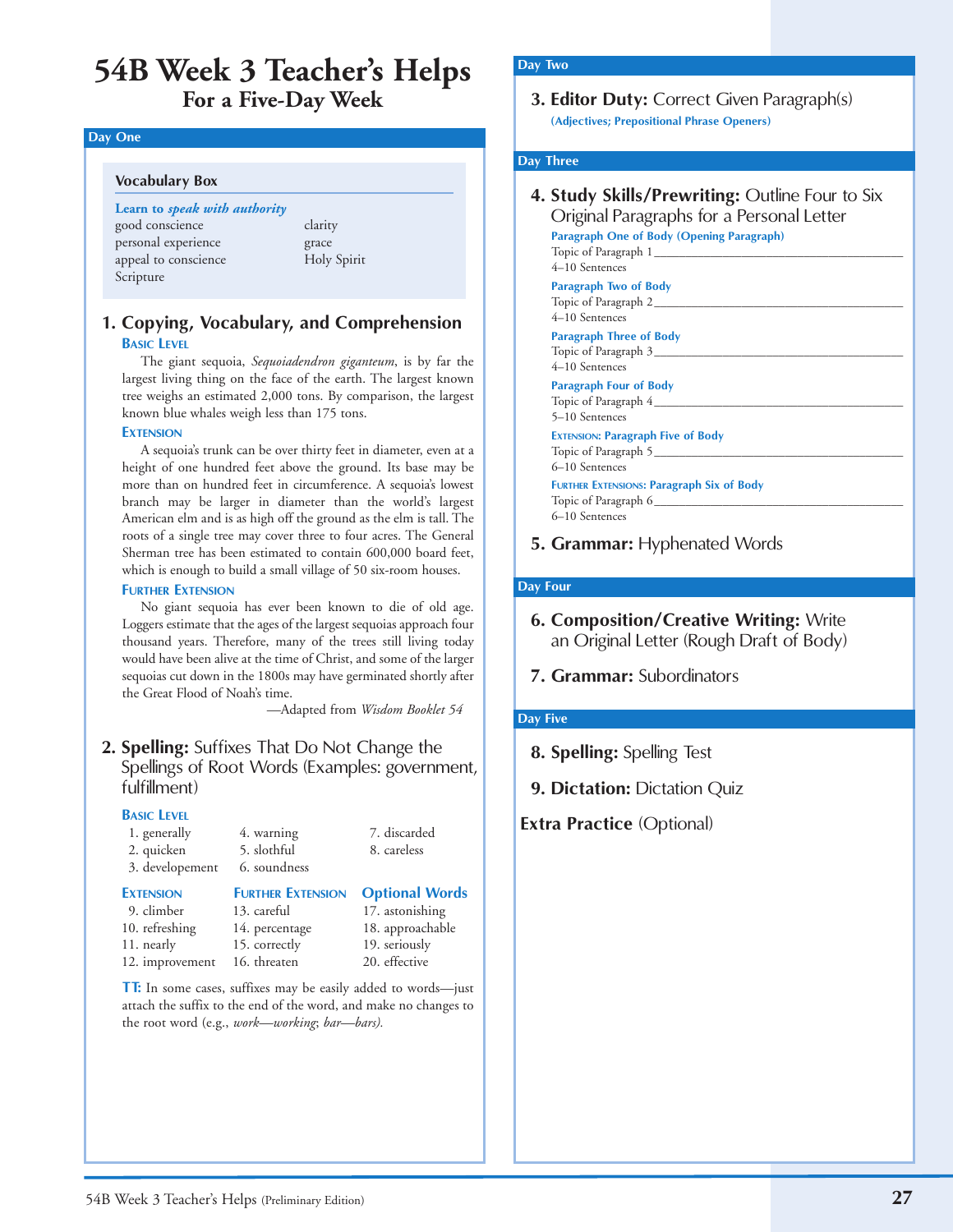### **54B Week 3 Teacher's Helps For a Five-Day Week**

#### **Day One**

#### **Vocabulary Box**

#### **Learn to** *speak with authority*

good conscience clarity personal experience grace appeal to conscience Holy Spirit Scripture

#### **1. Copying, Vocabulary, and Comprehension BASIC LEVEL**

The giant sequoia, *Sequoiadendron giganteum*, is by far the largest living thing on the face of the earth. The largest known tree weighs an estimated 2,000 tons. By comparison, the largest known blue whales weigh less than 175 tons.

#### **EXTENSION**

A sequoia's trunk can be over thirty feet in diameter, even at a height of one hundred feet above the ground. Its base may be more than on hundred feet in circumference. A sequoia's lowest branch may be larger in diameter than the world's largest American elm and is as high off the ground as the elm is tall. The roots of a single tree may cover three to four acres. The General Sherman tree has been estimated to contain 600,000 board feet, which is enough to build a small village of 50 six-room houses.

#### **FURTHER EXTENSION**

No giant sequoia has ever been known to die of old age. Loggers estimate that the ages of the largest sequoias approach four thousand years. Therefore, many of the trees still living today would have been alive at the time of Christ, and some of the larger sequoias cut down in the 1800s may have germinated shortly after the Great Flood of Noah's time.

—Adapted from *Wisdom Booklet 54*

#### **2. Spelling:** Suffixes That Do Not Change the Spellings of Root Words (Examples: government, fulfillment)

#### **BASIC LEVEL**

| 1. generally    | 4. warning   | 7. discarded |
|-----------------|--------------|--------------|
| 2. quicken      | 5. slothful  | 8. careless  |
| 3. developement | 6. soundness |              |

| <b>EXTENSION</b> | <b>FURTHER EXTENSION Optional Words</b> |                  |
|------------------|-----------------------------------------|------------------|
| 9. climber       | 13. careful                             | 17. astonishing  |
| 10. refreshing   | 14. percentage                          | 18. approachable |
| 11. nearly       | 15. correctly                           | 19. seriously    |
| 12. improvement  | 16. threaten                            | 20. effective    |

**TT:** In some cases, suffixes may be easily added to words—just attach the suffix to the end of the word, and make no changes to the root word (e.g., *work—working*; *bar—bars).* 

#### **Day Two**

**3. Editor Duty:** Correct Given Paragraph(s) **(Adjectives; Prepositional Phrase Openers)**

#### **Day Three**

**4. Study Skills/Prewriting:** Outline Four to Six Original Paragraphs for a Personal Letter

**Paragraph One of Body (Opening Paragraph)** Topic of Paragraph 1

4–10 Sentences

**Paragraph Two of Body** Topic of Paragraph 2 4–10 Sentences

**Paragraph Three of Body** Topic of Paragraph 3\_ 4–10 Sentences

**Paragraph Four of Body** Topic of Paragraph  $4$ 5–10 Sentences

**EXTENSION: Paragraph Five of Body** Topic of Paragraph 5\_ 6–10 Sentences

**FURTHER EXTENSIONS: Paragraph Six of Body** Topic of Paragraph 6\_ 6–10 Sentences

**5. Grammar:** Hyphenated Words

#### **Day Four**

- **6. Composition/Creative Writing:** Write an Original Letter (Rough Draft of Body)
- **7. Grammar:** Subordinators

#### **Day Five**

- **8. Spelling:** Spelling Test
- **9. Dictation: Dictation Quiz**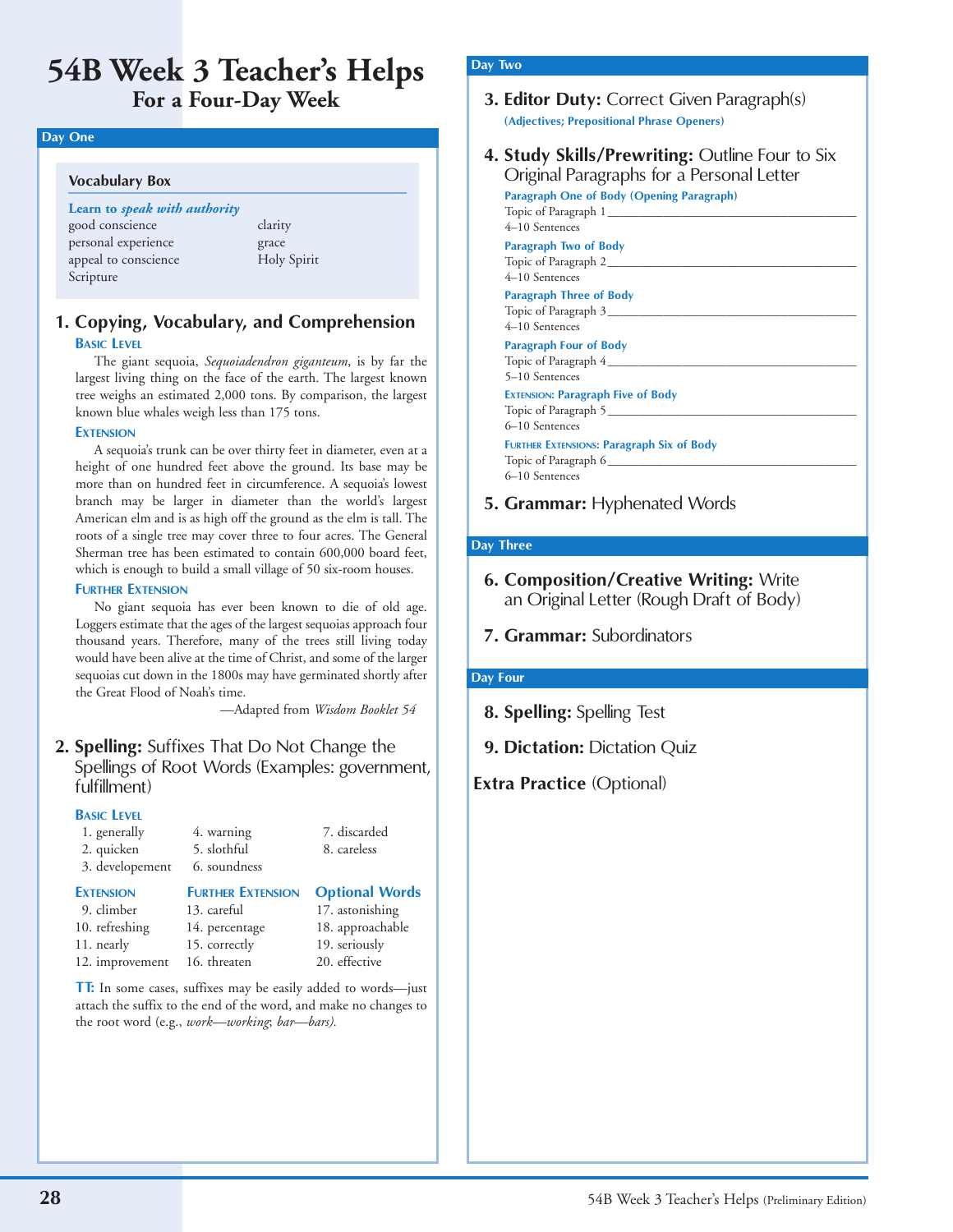## **54B Week 3 Teacher's Helps**

**For a Four-Day Week**

#### **Day One**

#### **Vocabulary Box**

| Learn to speak with authority |             |
|-------------------------------|-------------|
| good conscience               | clarity     |
| personal experience           | grace       |
| appeal to conscience          | Holy Spirit |
| Scripture                     |             |

#### **1. Copying, Vocabulary, and Comprehension BASIC LEVEL**

The giant sequoia, *Sequoiadendron giganteum*, is by far the largest living thing on the face of the earth. The largest known tree weighs an estimated 2,000 tons. By comparison, the largest known blue whales weigh less than 175 tons.

#### **EXTENSION**

A sequoia's trunk can be over thirty feet in diameter, even at a height of one hundred feet above the ground. Its base may be more than on hundred feet in circumference. A sequoia's lowest branch may be larger in diameter than the world's largest American elm and is as high off the ground as the elm is tall. The roots of a single tree may cover three to four acres. The General Sherman tree has been estimated to contain 600,000 board feet, which is enough to build a small village of 50 six-room houses.

#### **FURTHER EXTENSION**

No giant sequoia has ever been known to die of old age. Loggers estimate that the ages of the largest sequoias approach four thousand years. Therefore, many of the trees still living today would have been alive at the time of Christ, and some of the larger sequoias cut down in the 1800s may have germinated shortly after the Great Flood of Noah's time.

—Adapted from *Wisdom Booklet 54*

#### **2. Spelling:** Suffixes That Do Not Change the Spellings of Root Words (Examples: government, fulfillment)

#### **BASIC LEVEL**

| 1. generally<br>2. quicken<br>3. developement | 4. warning<br>5. slothful<br>6. soundness | 7. discarded<br>8. careless |
|-----------------------------------------------|-------------------------------------------|-----------------------------|
| <b>EXTENSION</b>                              | <b>FURTHER EXTENSION</b>                  | <b>Optional Words</b>       |
| 9. climber                                    | 13. careful                               | 17. astonishing             |
| 10. refreshing                                | 14. percentage                            | 18. approachable            |
| 11. nearly                                    | 15. correctly                             | 19. seriously               |
| 12. improvement                               | 16. threaten                              | 20. effective               |

**TT:** In some cases, suffixes may be easily added to words—just attach the suffix to the end of the word, and make no changes to the root word (e.g., *work—working*; *bar—bars).* 

#### **Day Two**

- **3. Editor Duty:** Correct Given Paragraph(s) **(Adjectives; Prepositional Phrase Openers)**
- **4. Study Skills/Prewriting:** Outline Four to Six Original Paragraphs for a Personal Letter **Paragraph One of Body (Opening Paragraph)** Topic of Paragraph  $1$ 4–10 Sentences **Paragraph Two of Body** Topic of Paragraph 2 4–10 Sentences **Paragraph Three of Body**

Topic of Paragraph 3 4–10 Sentences

**Paragraph Four of Body** Topic of Paragraph 4

5–10 Sentences

**EXTENSION: Paragraph Five of Body** Topic of Paragraph 5\_ 6–10 Sentences

**FURTHER EXTENSIONS: Paragraph Six of Body** Topic of Paragraph 6\_ 6–10 Sentences

**5. Grammar:** Hyphenated Words

#### **Day Three**

- **6. Composition/Creative Writing:** Write an Original Letter (Rough Draft of Body)
- **7. Grammar:** Subordinators

#### **Day Four**

- **8. Spelling:** Spelling Test
- **9. Dictation:** Dictation Quiz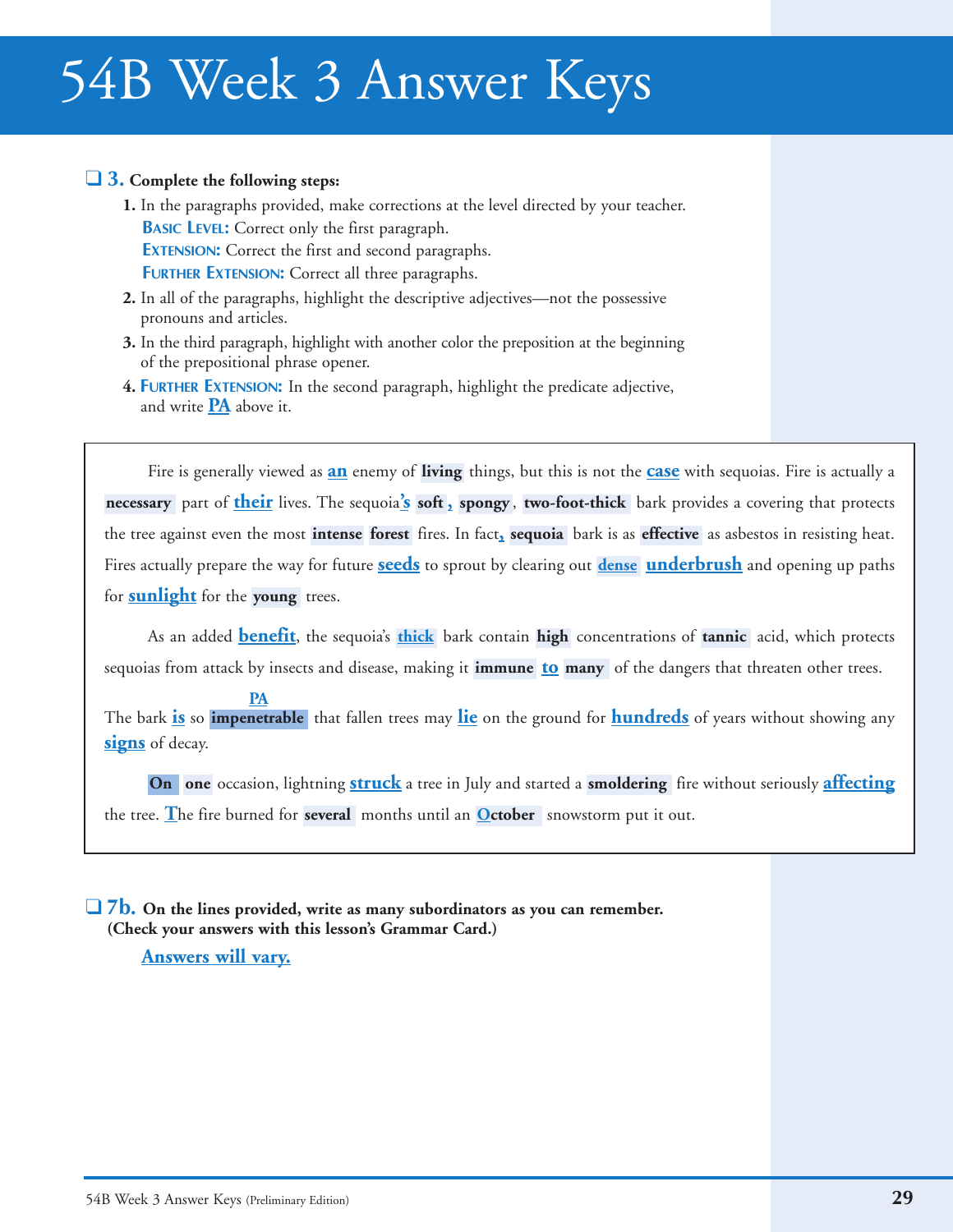# 54B Week 3 Answer Keys

#### ❑ **3. Complete the following steps:**

- **1.** In the paragraphs provided, make corrections at the level directed by your teacher. **BASIC LEVEL:** Correct only the first paragraph. **EXTENSION:** Correct the first and second paragraphs. **FURTHER EXTENSION:** Correct all three paragraphs.
- **2.** In all of the paragraphs, highlight the descriptive adjectives—not the possessive pronouns and articles.
- **3.** In the third paragraph, highlight with another color the preposition at the beginning of the prepositional phrase opener.
- **4. FURTHER EXTENSION:** In the second paragraph, highlight the predicate adjective, and write **PA** above it.

Fire is generally viewed as **an** enemy of **living** things, but this is not the **case** with sequoias. Fire is actually a  $n$ ecessary part of their lives. The sequoia's soft , spongy , two-foot-thick bark provides a covering that protects the tree against even the most intense forest fires. In fact, sequoia bark is as effective as asbestos in resisting heat. Fires actually prepare the way for future <mark>seeds</mark> to sprout by clearing out <mark>dense kunderbrush</mark> and opening up paths for **sunlight** for the young trees.

As an added <mark>benefit</mark>, the sequoia's <mark>thick</mark> bark contain **high** concentrations of tannic acid, which protects sequoias from attack by insects and disease, making it *immune* to many of the dangers that threaten other trees.

**PA** The bark <mark>is</mark> so **impenetrable** that fallen trees may <mark>lie</mark> on the ground for <mark>hundreds</mark> of years without showing any **signs** of decay.

 $\bf{On}$  **one** occasion, lightning  $\bf{struck}$  a tree in July and started a  $\bf{smoldering}$  fire without seriously  $\bf{affecting}$ the tree. The fire burned for **several** months until an **October** snowstorm put it out.

❑ **7b. On the lines provided, write as many subordinators as you can remember. (Check your answers with this lesson's Grammar Card.)**

**Answers will vary.**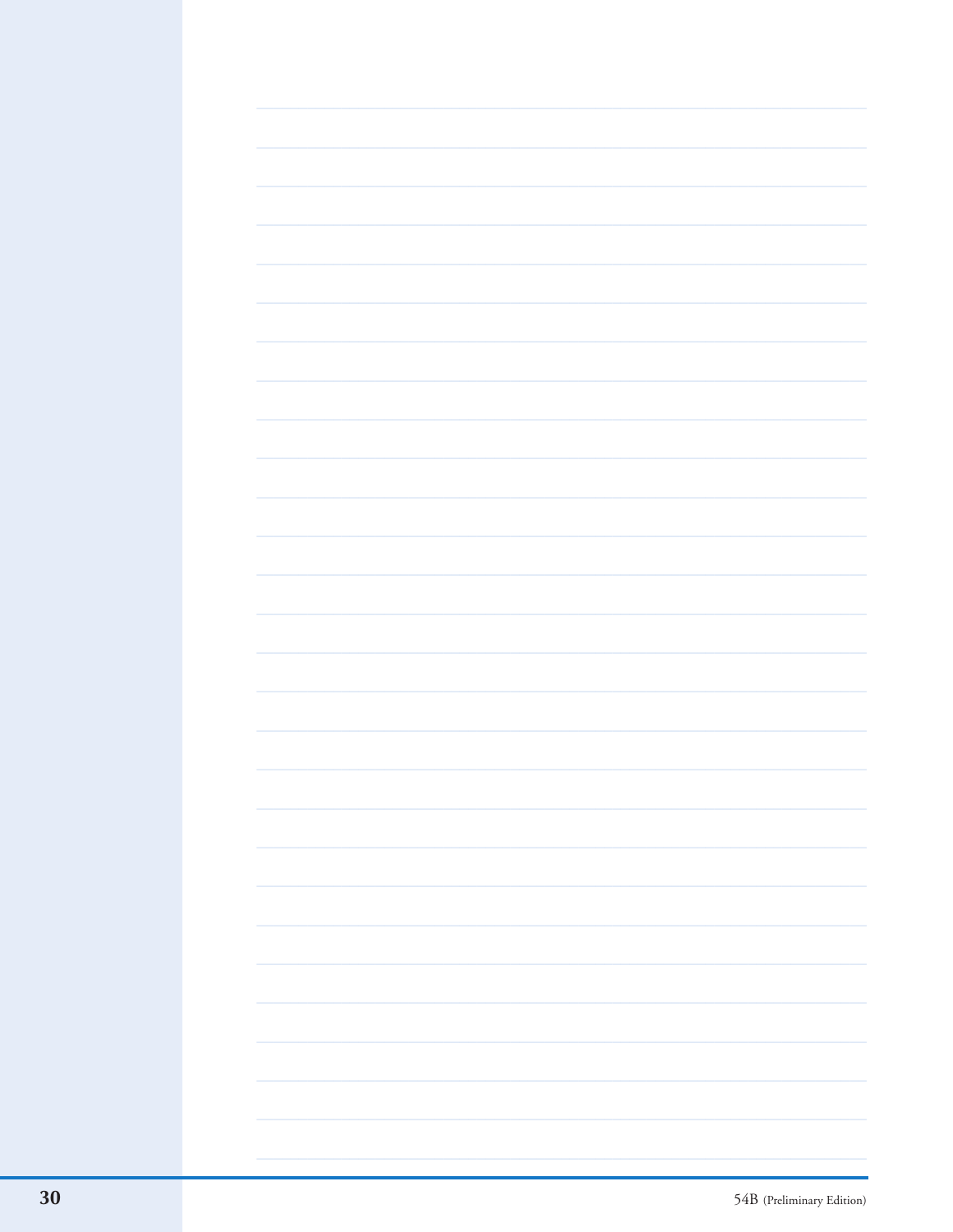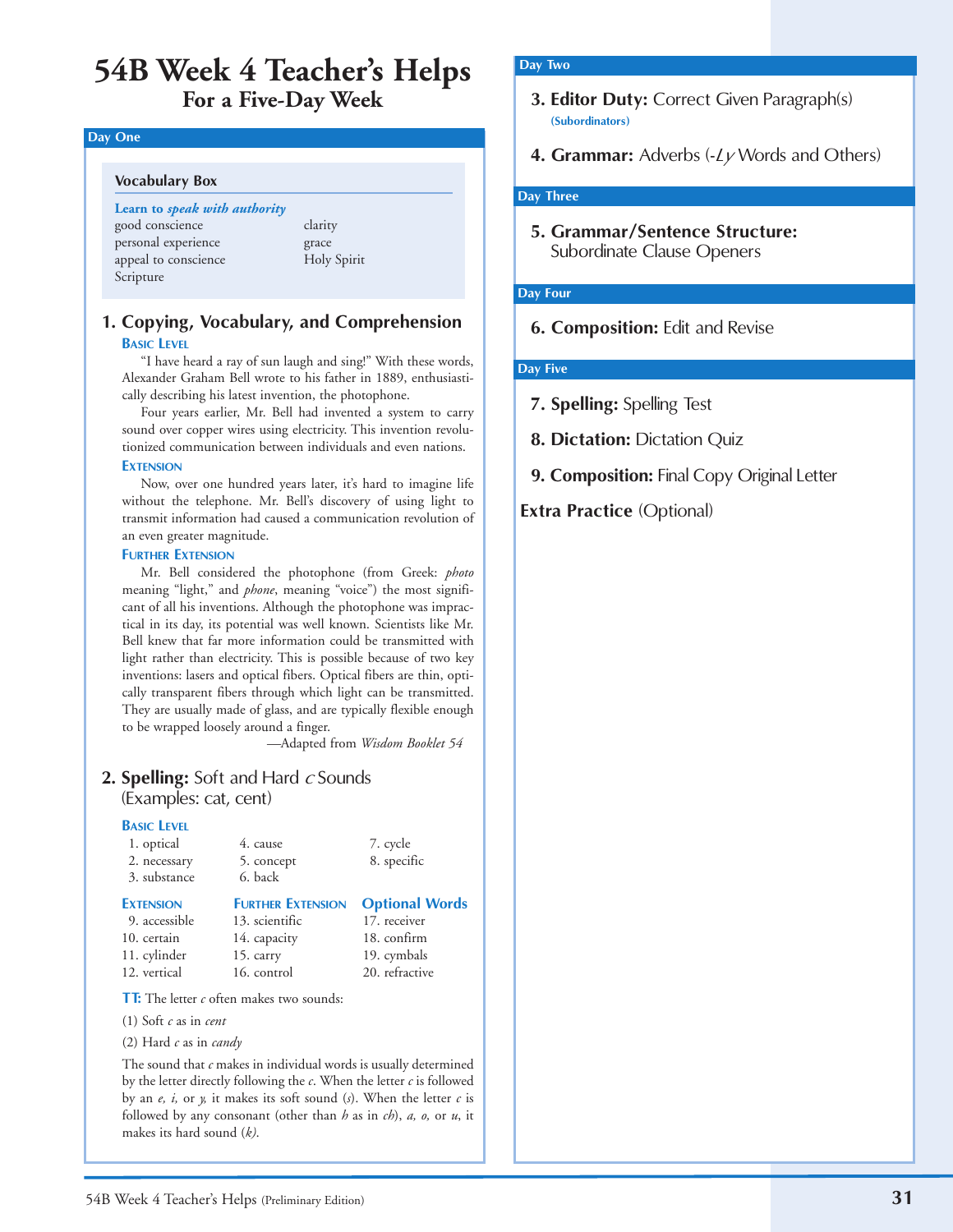### **54B Week 4 Teacher's Helps For a Five-Day Week**

#### **Day One**

#### **Vocabulary Box**

#### **Learn to** *speak with authority*

good conscience clarity personal experience grace appeal to conscience Holy Spirit Scripture

#### **1. Copying, Vocabulary, and Comprehension BASIC LEVEL**

"I have heard a ray of sun laugh and sing!" With these words, Alexander Graham Bell wrote to his father in 1889, enthusiastically describing his latest invention, the photophone.

Four years earlier, Mr. Bell had invented a system to carry sound over copper wires using electricity. This invention revolutionized communication between individuals and even nations. **EXTENSION** 

Now, over one hundred years later, it's hard to imagine life without the telephone. Mr. Bell's discovery of using light to transmit information had caused a communication revolution of an even greater magnitude.

#### **FURTHER EXTENSION**

Mr. Bell considered the photophone (from Greek: *photo* meaning "light," and *phone*, meaning "voice") the most significant of all his inventions. Although the photophone was impractical in its day, its potential was well known. Scientists like Mr. Bell knew that far more information could be transmitted with light rather than electricity. This is possible because of two key inventions: lasers and optical fibers. Optical fibers are thin, optically transparent fibers through which light can be transmitted. They are usually made of glass, and are typically flexible enough to be wrapped loosely around a finger.

*—*Adapted from *Wisdom Booklet 54*

#### **2. Spelling:** Soft and Hard *<sup>c</sup>* Sounds (Examples: cat, cent)

#### **BASIC LEVEL**

| 1. optical   | 4. cause   | 7. cycle    |
|--------------|------------|-------------|
| 2. necessary | 5. concept | 8. specific |
| 3. substance | 6. back    |             |

#### **EXTENSION FURTHER EXTENSION Optional Words**

#### 9. accessible 13. scientific 17. receiver 10. certain 14. capacity 18. confirm 11. cylinder 15. carry 19. cymbals

12. vertical 16. control 20. refractive

**TT:** The letter *c* often makes two sounds:

- (1) Soft *c* as in *cent*
- (2) Hard *c* as in *candy*

The sound that *c* makes in individual words is usually determined by the letter directly following the *c*. When the letter *c* is followed by an  $e$ ,  $i$ , or  $\gamma$ , it makes its soft sound ( $s$ ). When the letter  $c$  is followed by any consonant (other than *h* as in *ch*), *a, o,* or *u*, it makes its hard sound (*k)*.

#### **Day Two**

- **3. Editor Duty:** Correct Given Paragraph(s) **(Subordinators)**
- **4. Grammar:** Adverbs (-*Ly* Words and Others)

#### **Day Three**

**5. Grammar/Sentence Structure:**  Subordinate Clause Openers

#### **Day Four**

**6. Composition:** Edit and Revise

#### **Day Five**

- **7. Spelling:** Spelling Test
- **8. Dictation:** Dictation Quiz
- **9. Composition:** Final Copy Original Letter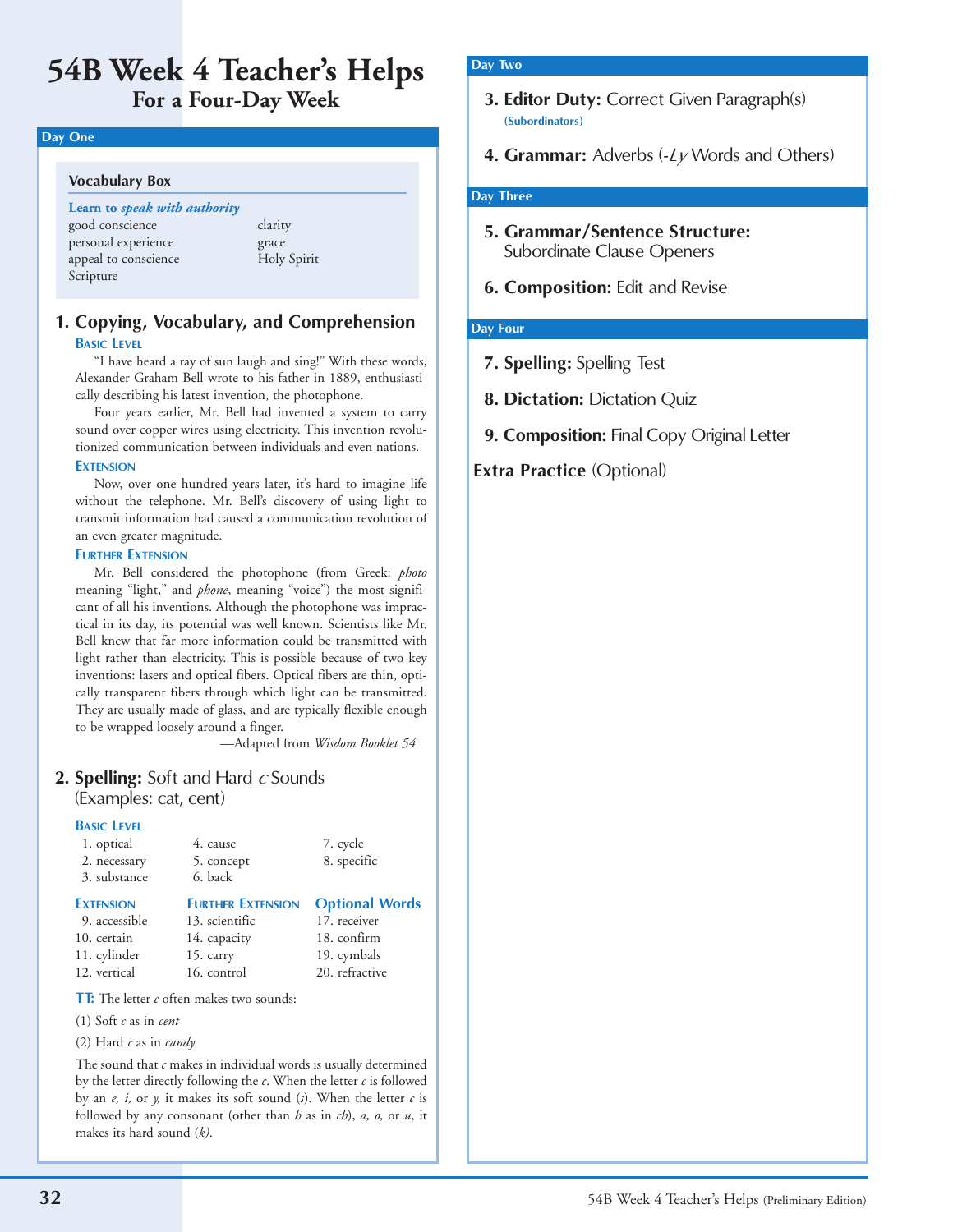### **54B Week 4 Teacher's Helps**

**For a Four-Day Week**

#### **Day One**

#### **Vocabulary Box**

| Learn to speak with authority |             |
|-------------------------------|-------------|
| good conscience               | clarity     |
| personal experience           | grace       |
| appeal to conscience          | Holy Spirit |
| Scripture                     |             |

#### **1. Copying, Vocabulary, and Comprehension BASIC LEVEL**

"I have heard a ray of sun laugh and sing!" With these words, Alexander Graham Bell wrote to his father in 1889, enthusiastically describing his latest invention, the photophone.

Four years earlier, Mr. Bell had invented a system to carry sound over copper wires using electricity. This invention revolutionized communication between individuals and even nations. **EXTENSION** 

### Now, over one hundred years later, it's hard to imagine life

without the telephone. Mr. Bell's discovery of using light to transmit information had caused a communication revolution of an even greater magnitude.

#### **FURTHER EXTENSION**

Mr. Bell considered the photophone (from Greek: *photo* meaning "light," and *phone*, meaning "voice") the most significant of all his inventions. Although the photophone was impractical in its day, its potential was well known. Scientists like Mr. Bell knew that far more information could be transmitted with light rather than electricity. This is possible because of two key inventions: lasers and optical fibers. Optical fibers are thin, optically transparent fibers through which light can be transmitted. They are usually made of glass, and are typically flexible enough to be wrapped loosely around a finger.

*—*Adapted from *Wisdom Booklet 54*

#### **2. Spelling:** Soft and Hard *<sup>c</sup>* Sounds (Examples: cat, cent)

#### **BASIC LEVEL**

| 1. optical   | 4. cause |
|--------------|----------|
| 2. necessary | 5. conce |
| 3. substance | 6. back  |

4. cause 7. cycle 5. concept 8. specific

**EXTENSION FURTHER EXTENSION Optional Words**

| 9. accessible | 1  |
|---------------|----|
| 10. certain   | 1. |
| 11. cylinder  | 1  |
| $12$ $$       |    |

#### 3. scientific 17. receiver 4. capacity 18. confirm 5. carry 19. cymbals 12. vertical 16. control 20. refractive

**TT:** The letter *c* often makes two sounds:

- (1) Soft *c* as in *cent*
- (2) Hard *c* as in *candy*

The sound that *c* makes in individual words is usually determined by the letter directly following the *c*. When the letter *c* is followed by an  $e$ ,  $i$ , or  $\gamma$ , it makes its soft sound ( $s$ ). When the letter  $c$  is followed by any consonant (other than *h* as in *ch*), *a, o,* or *u*, it makes its hard sound (*k)*.

#### **Day Two**

- **3. Editor Duty:** Correct Given Paragraph(s) **(Subordinators)**
- **4. Grammar:** Adverbs (-*Ly* Words and Others)

#### **Day Three**

- **5. Grammar/Sentence Structure:**  Subordinate Clause Openers
- **6. Composition:** Edit and Revise

#### **Day Four**

- **7. Spelling:** Spelling Test
- **8. Dictation:** Dictation Quiz
- **9. Composition:** Final Copy Original Letter
- **Extra Practice** (Optional)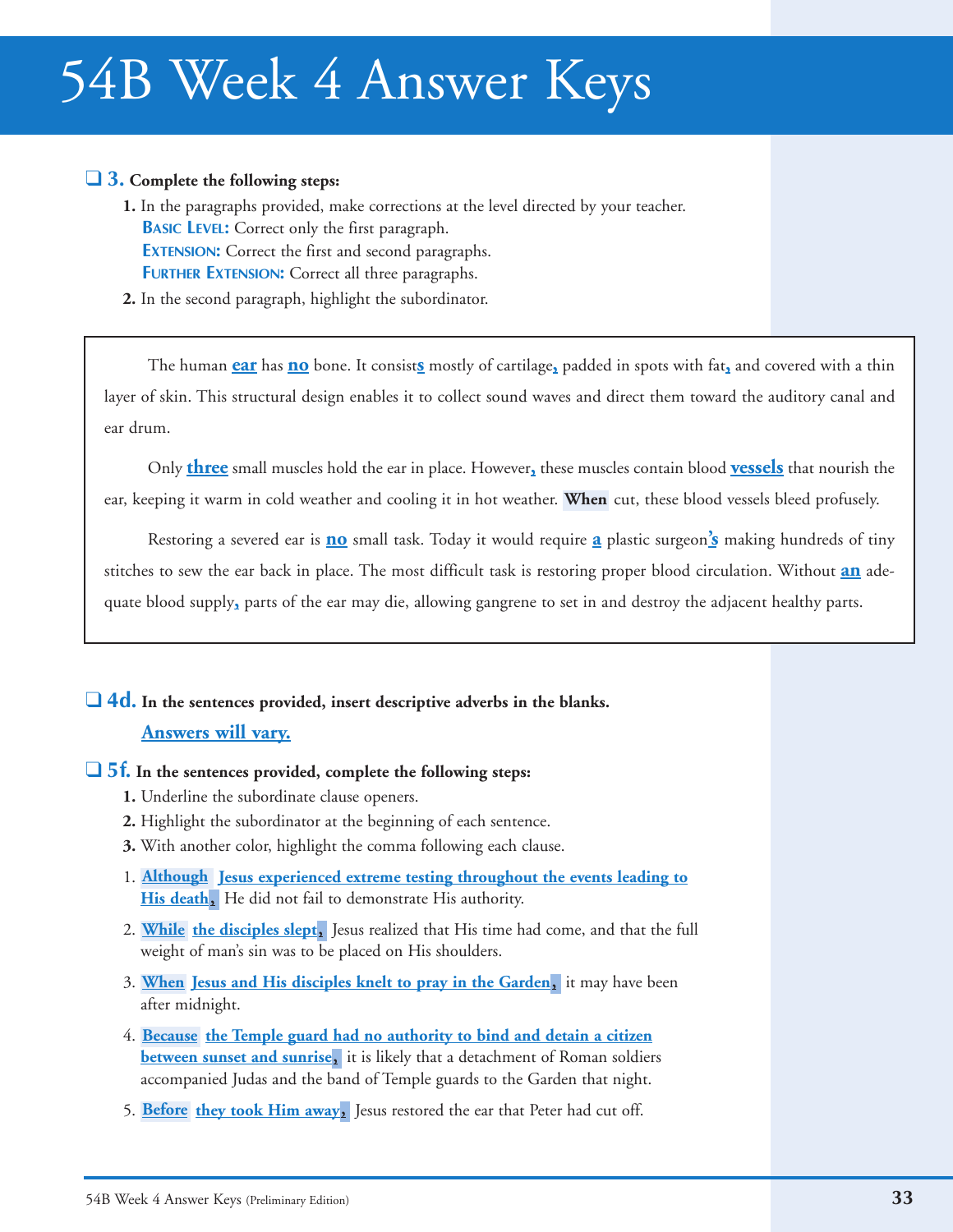# 54B Week 4 Answer Keys

#### ❑ **3. Complete the following steps:**

- **1.** In the paragraphs provided, make corrections at the level directed by your teacher. **BASIC LEVEL:** Correct only the first paragraph. **EXTENSION:** Correct the first and second paragraphs. **FURTHER EXTENSION:** Correct all three paragraphs.
- **2.** In the second paragraph, highlight the subordinator.

The human **ear** has **no** bone. It consist**s** mostly of cartilage**,** padded in spots with fat**,** and covered with a thin layer of skin. This structural design enables it to collect sound waves and direct them toward the auditory canal and ear drum.

Only **three** small muscles hold the ear in place. However**,** these muscles contain blood **vessels** that nourish the ear, keeping it warm in cold weather and cooling it in hot weather. **When** cut, these blood vessels bleed profusely.

Restoring a severed ear is **no** small task. Today it would require **a** plastic surgeon**'s** making hundreds of tiny stitches to sew the ear back in place. The most difficult task is restoring proper blood circulation. Without **an** adequate blood supply**,** parts of the ear may die, allowing gangrene to set in and destroy the adjacent healthy parts.

### ❑ **4d. In the sentences provided, insert descriptive adverbs in the blanks.**

### **Answers will vary.**

#### ❑ **5f. In the sentences provided, complete the following steps:**

- **1.** Underline the subordinate clause openers.
- **2.** Highlight the subordinator at the beginning of each sentence.
- **3.** With another color, highlight the comma following each clause.
- 1. Although Jesus experienced extreme testing throughout the events leading to His death, He did not fail to demonstrate His authority.
- 2. <mark>While</mark> the disciples slept, Jesus realized that His time had come, and that the full weight of man's sin was to be placed on His shoulders.
- 3. When Jesus and His disciples knelt to pray in the Garden, it may have been after midnight.
- 4. **the Temple guard had no authority to bind and detain a citizen Because** between sunset and sunrise, it is likely that a detachment of Roman soldiers accompanied Judas and the band of Temple guards to the Garden that night.
- 5. **Before they took Him away,** Jesus restored the ear that Peter had cut off.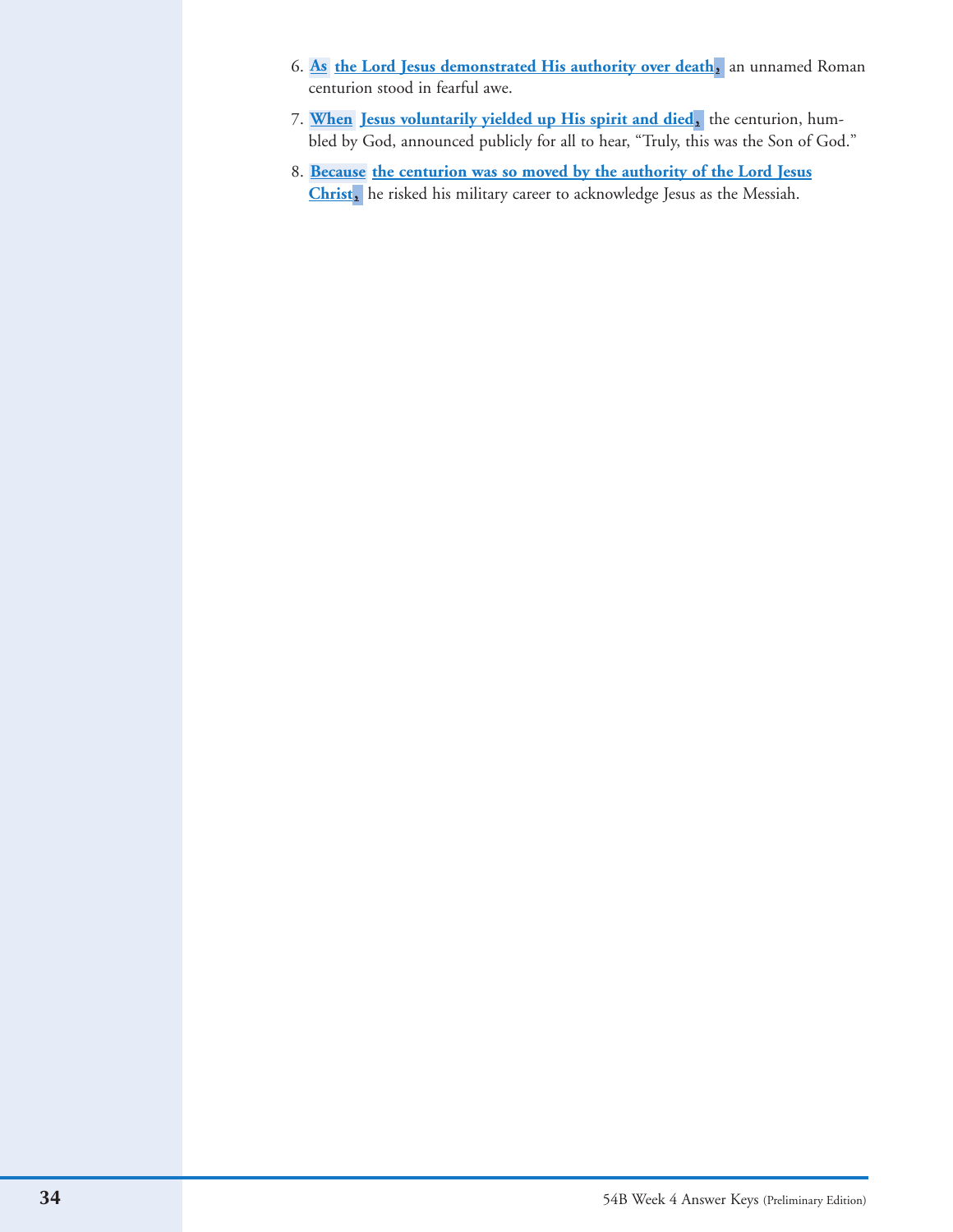- 6. As the Lord Jesus demonstrated His authority over death, an unnamed Roman centurion stood in fearful awe.
- 7. <mark>When Jesus voluntarily yielded up His spirit and died,</mark> the centurion, humbled by God, announced publicly for all to hear, "Truly, this was the Son of God."
- 8. **the centurion was so moved by the authority of the Lord Jesus Because Christ,** he risked his military career to acknowledge Jesus as the Messiah.